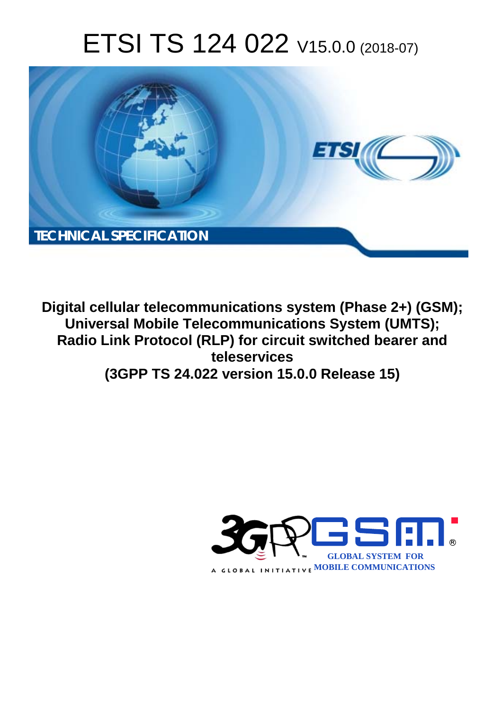# ETSI TS 124 022 V15.0.0 (2018-07)



**Digital cellular telecommunications system (Phase 2+) (GSM); Universal Mobile Telecommunications System (UMTS); Radio Link Protocol (RLP) for circuit switched bearer and teleservices (3GPP TS 24.022 version 15.0.0 Release 15)** 

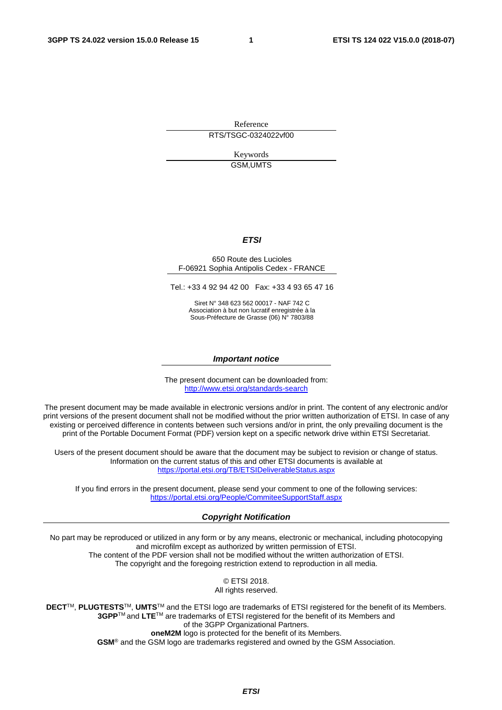Reference RTS/TSGC-0324022vf00

> Keywords GSM,UMTS

#### *ETSI*

#### 650 Route des Lucioles F-06921 Sophia Antipolis Cedex - FRANCE

Tel.: +33 4 92 94 42 00 Fax: +33 4 93 65 47 16

Siret N° 348 623 562 00017 - NAF 742 C Association à but non lucratif enregistrée à la Sous-Préfecture de Grasse (06) N° 7803/88

#### *Important notice*

The present document can be downloaded from: <http://www.etsi.org/standards-search>

The present document may be made available in electronic versions and/or in print. The content of any electronic and/or print versions of the present document shall not be modified without the prior written authorization of ETSI. In case of any existing or perceived difference in contents between such versions and/or in print, the only prevailing document is the print of the Portable Document Format (PDF) version kept on a specific network drive within ETSI Secretariat.

Users of the present document should be aware that the document may be subject to revision or change of status. Information on the current status of this and other ETSI documents is available at <https://portal.etsi.org/TB/ETSIDeliverableStatus.aspx>

If you find errors in the present document, please send your comment to one of the following services: <https://portal.etsi.org/People/CommiteeSupportStaff.aspx>

#### *Copyright Notification*

No part may be reproduced or utilized in any form or by any means, electronic or mechanical, including photocopying and microfilm except as authorized by written permission of ETSI. The content of the PDF version shall not be modified without the written authorization of ETSI. The copyright and the foregoing restriction extend to reproduction in all media.

> © ETSI 2018. All rights reserved.

**DECT**TM, **PLUGTESTS**TM, **UMTS**TM and the ETSI logo are trademarks of ETSI registered for the benefit of its Members. **3GPP**TM and **LTE**TM are trademarks of ETSI registered for the benefit of its Members and of the 3GPP Organizational Partners. **oneM2M** logo is protected for the benefit of its Members.

**GSM**® and the GSM logo are trademarks registered and owned by the GSM Association.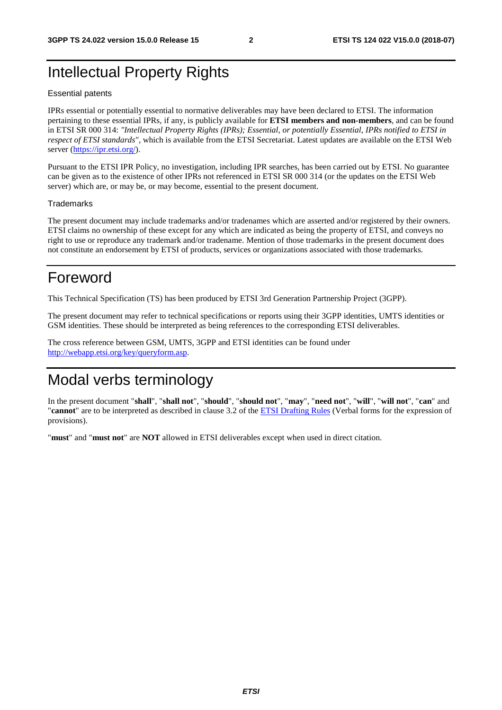## Intellectual Property Rights

#### Essential patents

IPRs essential or potentially essential to normative deliverables may have been declared to ETSI. The information pertaining to these essential IPRs, if any, is publicly available for **ETSI members and non-members**, and can be found in ETSI SR 000 314: *"Intellectual Property Rights (IPRs); Essential, or potentially Essential, IPRs notified to ETSI in respect of ETSI standards"*, which is available from the ETSI Secretariat. Latest updates are available on the ETSI Web server ([https://ipr.etsi.org/\)](https://ipr.etsi.org/).

Pursuant to the ETSI IPR Policy, no investigation, including IPR searches, has been carried out by ETSI. No guarantee can be given as to the existence of other IPRs not referenced in ETSI SR 000 314 (or the updates on the ETSI Web server) which are, or may be, or may become, essential to the present document.

#### **Trademarks**

The present document may include trademarks and/or tradenames which are asserted and/or registered by their owners. ETSI claims no ownership of these except for any which are indicated as being the property of ETSI, and conveys no right to use or reproduce any trademark and/or tradename. Mention of those trademarks in the present document does not constitute an endorsement by ETSI of products, services or organizations associated with those trademarks.

## Foreword

This Technical Specification (TS) has been produced by ETSI 3rd Generation Partnership Project (3GPP).

The present document may refer to technical specifications or reports using their 3GPP identities, UMTS identities or GSM identities. These should be interpreted as being references to the corresponding ETSI deliverables.

The cross reference between GSM, UMTS, 3GPP and ETSI identities can be found under [http://webapp.etsi.org/key/queryform.asp.](http://webapp.etsi.org/key/queryform.asp)

## Modal verbs terminology

In the present document "**shall**", "**shall not**", "**should**", "**should not**", "**may**", "**need not**", "**will**", "**will not**", "**can**" and "**cannot**" are to be interpreted as described in clause 3.2 of the [ETSI Drafting Rules](https://portal.etsi.org/Services/editHelp!/Howtostart/ETSIDraftingRules.aspx) (Verbal forms for the expression of provisions).

"**must**" and "**must not**" are **NOT** allowed in ETSI deliverables except when used in direct citation.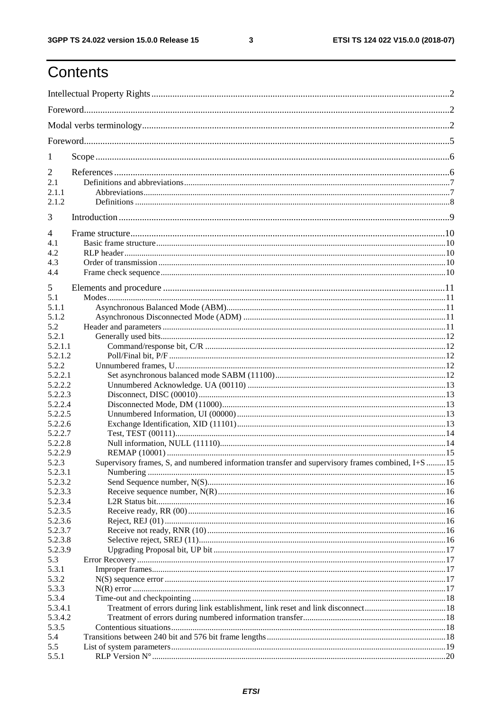$\mathbf{3}$ 

## Contents

| 1       |                                                                                                   |  |  |  |  |
|---------|---------------------------------------------------------------------------------------------------|--|--|--|--|
| 2       |                                                                                                   |  |  |  |  |
| 2.1     |                                                                                                   |  |  |  |  |
| 2.1.1   |                                                                                                   |  |  |  |  |
| 2.1.2   |                                                                                                   |  |  |  |  |
| 3       |                                                                                                   |  |  |  |  |
| 4       |                                                                                                   |  |  |  |  |
| 4.1     |                                                                                                   |  |  |  |  |
| 4.2     |                                                                                                   |  |  |  |  |
| 4.3     |                                                                                                   |  |  |  |  |
| 4.4     |                                                                                                   |  |  |  |  |
| 5       |                                                                                                   |  |  |  |  |
| 5.1     |                                                                                                   |  |  |  |  |
| 5.1.1   |                                                                                                   |  |  |  |  |
| 5.1.2   |                                                                                                   |  |  |  |  |
| 5.2     |                                                                                                   |  |  |  |  |
| 5.2.1   |                                                                                                   |  |  |  |  |
| 5.2.1.1 |                                                                                                   |  |  |  |  |
| 5.2.1.2 |                                                                                                   |  |  |  |  |
| 5.2.2   |                                                                                                   |  |  |  |  |
| 5.2.2.1 |                                                                                                   |  |  |  |  |
| 5.2.2.2 |                                                                                                   |  |  |  |  |
| 5.2.2.3 |                                                                                                   |  |  |  |  |
| 5.2.2.4 |                                                                                                   |  |  |  |  |
| 5.2.2.5 |                                                                                                   |  |  |  |  |
| 5.2.2.6 |                                                                                                   |  |  |  |  |
| 5.2.2.7 |                                                                                                   |  |  |  |  |
| 5.2.2.8 |                                                                                                   |  |  |  |  |
| 5.2.2.9 |                                                                                                   |  |  |  |  |
| 5.2.3   | Supervisory frames, S, and numbered information transfer and supervisory frames combined, I+S  15 |  |  |  |  |
| 5.2.3.1 |                                                                                                   |  |  |  |  |
| 5.2.3.2 |                                                                                                   |  |  |  |  |
| 5.2.3.3 |                                                                                                   |  |  |  |  |
| 5.2.3.4 |                                                                                                   |  |  |  |  |
| 5.2.3.5 |                                                                                                   |  |  |  |  |
| 5.2.3.6 |                                                                                                   |  |  |  |  |
| 5.2.3.7 |                                                                                                   |  |  |  |  |
| 5.2.3.8 |                                                                                                   |  |  |  |  |
| 5.2.3.9 |                                                                                                   |  |  |  |  |
| 5.3     |                                                                                                   |  |  |  |  |
| 5.3.1   |                                                                                                   |  |  |  |  |
| 5.3.2   |                                                                                                   |  |  |  |  |
| 5.3.3   |                                                                                                   |  |  |  |  |
| 5.3.4   |                                                                                                   |  |  |  |  |
| 5.3.4.1 |                                                                                                   |  |  |  |  |
| 5.3.4.2 |                                                                                                   |  |  |  |  |
| 5.3.5   |                                                                                                   |  |  |  |  |
| 5.4     |                                                                                                   |  |  |  |  |
| 5.5     |                                                                                                   |  |  |  |  |
| 5.5.1   |                                                                                                   |  |  |  |  |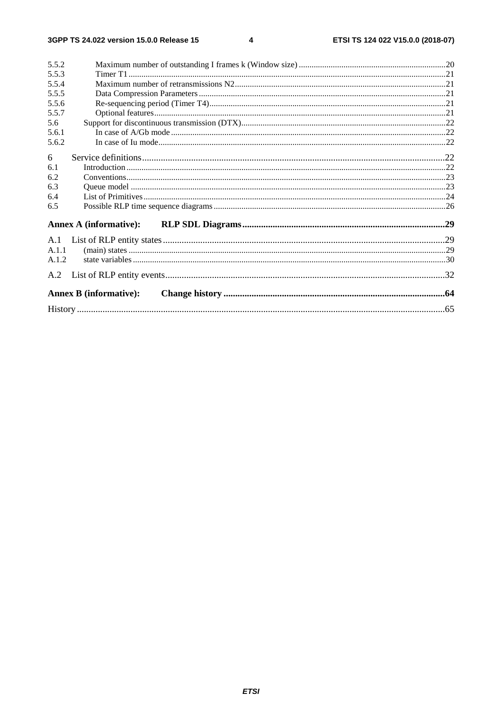$\overline{\mathbf{4}}$ 

| 5.5.2 |                               |  |
|-------|-------------------------------|--|
| 5.5.3 |                               |  |
| 5.5.4 |                               |  |
| 5.5.5 |                               |  |
| 5.5.6 |                               |  |
| 5.5.7 |                               |  |
| 5.6   |                               |  |
| 5.6.1 |                               |  |
| 5.6.2 |                               |  |
| 6     |                               |  |
| 6.1   |                               |  |
| 6.2   |                               |  |
| 6.3   |                               |  |
| 6.4   |                               |  |
| 6.5   |                               |  |
|       | <b>Annex A (informative):</b> |  |
|       |                               |  |
|       |                               |  |
| A.1.1 |                               |  |
| A.1.2 |                               |  |
|       |                               |  |
|       | <b>Annex B</b> (informative): |  |
|       |                               |  |
|       |                               |  |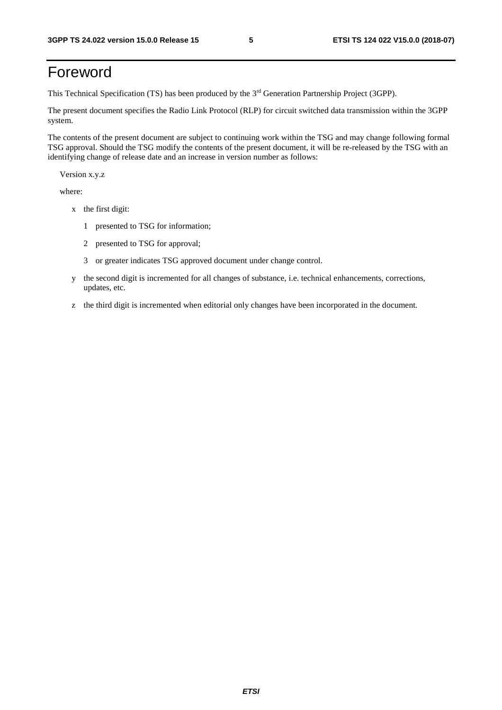## Foreword

This Technical Specification (TS) has been produced by the 3rd Generation Partnership Project (3GPP).

The present document specifies the Radio Link Protocol (RLP) for circuit switched data transmission within the 3GPP system.

The contents of the present document are subject to continuing work within the TSG and may change following formal TSG approval. Should the TSG modify the contents of the present document, it will be re-released by the TSG with an identifying change of release date and an increase in version number as follows:

Version x.y.z

where:

- x the first digit:
	- 1 presented to TSG for information;
	- 2 presented to TSG for approval;
	- 3 or greater indicates TSG approved document under change control.
- y the second digit is incremented for all changes of substance, i.e. technical enhancements, corrections, updates, etc.
- z the third digit is incremented when editorial only changes have been incorporated in the document.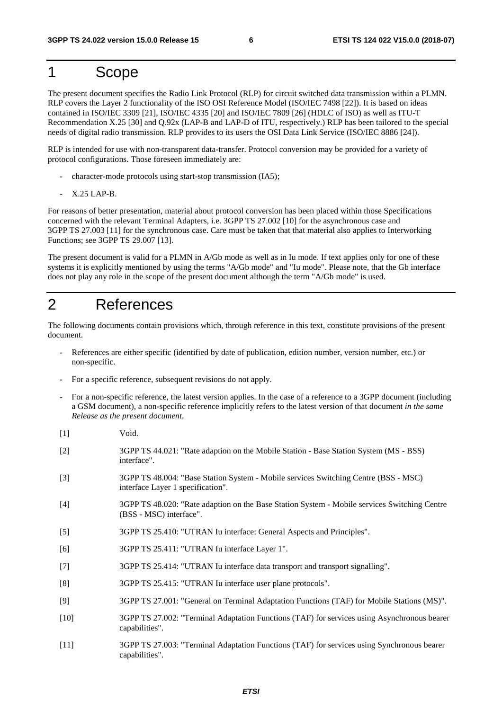## 1 Scope

The present document specifies the Radio Link Protocol (RLP) for circuit switched data transmission within a PLMN. RLP covers the Layer 2 functionality of the ISO OSI Reference Model (ISO/IEC 7498 [22]). It is based on ideas contained in ISO/IEC 3309 [21], ISO/IEC 4335 [20] and ISO/IEC 7809 [26] (HDLC of ISO) as well as ITU-T Recommendation X.25 [30] and Q.92x (LAP-B and LAP-D of ITU, respectively.) RLP has been tailored to the special needs of digital radio transmission. RLP provides to its users the OSI Data Link Service (ISO/IEC 8886 [24]).

RLP is intended for use with non-transparent data-transfer. Protocol conversion may be provided for a variety of protocol configurations. Those foreseen immediately are:

- character-mode protocols using start-stop transmission (IA5);
- X.25 LAP-B.

For reasons of better presentation, material about protocol conversion has been placed within those Specifications concerned with the relevant Terminal Adapters, i.e. 3GPP TS 27.002 [10] for the asynchronous case and 3GPP TS 27.003 [11] for the synchronous case. Care must be taken that that material also applies to Interworking Functions; see 3GPP TS 29.007 [13].

The present document is valid for a PLMN in A/Gb mode as well as in Iu mode. If text applies only for one of these systems it is explicitly mentioned by using the terms "A/Gb mode" and "Iu mode". Please note, that the Gb interface does not play any role in the scope of the present document although the term "A/Gb mode" is used.

### 2 References

The following documents contain provisions which, through reference in this text, constitute provisions of the present document.

- References are either specific (identified by date of publication, edition number, version number, etc.) or non-specific.
- For a specific reference, subsequent revisions do not apply.
- For a non-specific reference, the latest version applies. In the case of a reference to a 3GPP document (including a GSM document), a non-specific reference implicitly refers to the latest version of that document *in the same Release as the present document*.
- [1] Void.
- [2] 3GPP TS 44.021: "Rate adaption on the Mobile Station Base Station System (MS BSS) interface".
- [3] 3GPP TS 48.004: "Base Station System Mobile services Switching Centre (BSS MSC) interface Layer 1 specification".
- [4] 3GPP TS 48.020: "Rate adaption on the Base Station System Mobile services Switching Centre (BSS - MSC) interface".
- [5] 3GPP TS 25.410: "UTRAN Iu interface: General Aspects and Principles".
- [6] 3GPP TS 25.411: "UTRAN Iu interface Layer 1".
- [7] 3GPP TS 25.414: "UTRAN Iu interface data transport and transport signalling".
- [8] 3GPP TS 25.415: "UTRAN Iu interface user plane protocols".
- [9] 3GPP TS 27.001: "General on Terminal Adaptation Functions (TAF) for Mobile Stations (MS)".
- [10] 3GPP TS 27.002: "Terminal Adaptation Functions (TAF) for services using Asynchronous bearer capabilities".
- [11] 3GPP TS 27.003: "Terminal Adaptation Functions (TAF) for services using Synchronous bearer capabilities".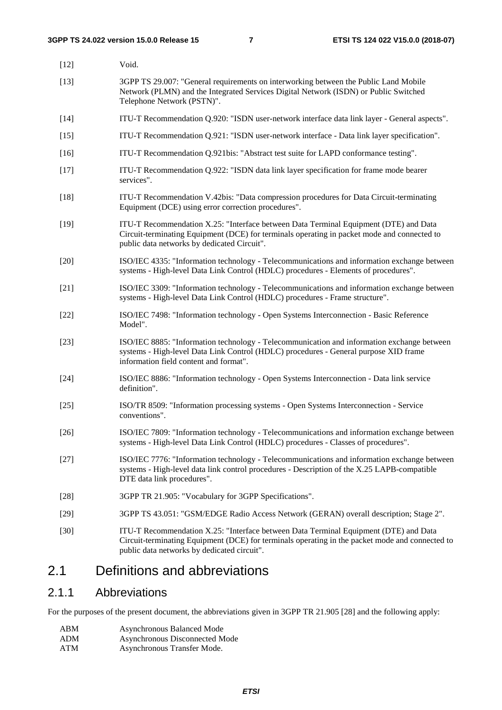| $[12]$ | Void.                                                                                                                                                                                                                                  |
|--------|----------------------------------------------------------------------------------------------------------------------------------------------------------------------------------------------------------------------------------------|
| $[13]$ | 3GPP TS 29.007: "General requirements on interworking between the Public Land Mobile<br>Network (PLMN) and the Integrated Services Digital Network (ISDN) or Public Switched<br>Telephone Network (PSTN)".                             |
| $[14]$ | ITU-T Recommendation Q.920: "ISDN user-network interface data link layer - General aspects".                                                                                                                                           |
| $[15]$ | ITU-T Recommendation Q.921: "ISDN user-network interface - Data link layer specification".                                                                                                                                             |
| $[16]$ | ITU-T Recommendation Q.921bis: "Abstract test suite for LAPD conformance testing".                                                                                                                                                     |
| $[17]$ | ITU-T Recommendation Q.922: "ISDN data link layer specification for frame mode bearer<br>services".                                                                                                                                    |
| $[18]$ | ITU-T Recommendation V.42bis: "Data compression procedures for Data Circuit-terminating<br>Equipment (DCE) using error correction procedures".                                                                                         |
| $[19]$ | ITU-T Recommendation X.25: "Interface between Data Terminal Equipment (DTE) and Data<br>Circuit-terminating Equipment (DCE) for terminals operating in packet mode and connected to<br>public data networks by dedicated Circuit".     |
| $[20]$ | ISO/IEC 4335: "Information technology - Telecommunications and information exchange between<br>systems - High-level Data Link Control (HDLC) procedures - Elements of procedures".                                                     |
| $[21]$ | ISO/IEC 3309: "Information technology - Telecommunications and information exchange between<br>systems - High-level Data Link Control (HDLC) procedures - Frame structure".                                                            |
| $[22]$ | ISO/IEC 7498: "Information technology - Open Systems Interconnection - Basic Reference<br>Model".                                                                                                                                      |
| $[23]$ | ISO/IEC 8885: "Information technology - Telecommunication and information exchange between<br>systems - High-level Data Link Control (HDLC) procedures - General purpose XID frame<br>information field content and format".           |
| $[24]$ | ISO/IEC 8886: "Information technology - Open Systems Interconnection - Data link service<br>definition".                                                                                                                               |
| $[25]$ | ISO/TR 8509: "Information processing systems - Open Systems Interconnection - Service<br>conventions".                                                                                                                                 |
| $[26]$ | ISO/IEC 7809: "Information technology - Telecommunications and information exchange between<br>systems - High-level Data Link Control (HDLC) procedures - Classes of procedures".                                                      |
| $[27]$ | ISO/IEC 7776: "Information technology - Telecommunications and information exchange between<br>systems - High-level data link control procedures - Description of the X.25 LAPB-compatible<br>DTE data link procedures".               |
| $[28]$ | 3GPP TR 21.905: "Vocabulary for 3GPP Specifications".                                                                                                                                                                                  |
| $[29]$ | 3GPP TS 43.051: "GSM/EDGE Radio Access Network (GERAN) overall description; Stage 2".                                                                                                                                                  |
| $[30]$ | ITU-T Recommendation X.25: "Interface between Data Terminal Equipment (DTE) and Data<br>Circuit-terminating Equipment (DCE) for terminals operating in the packet mode and connected to<br>public data networks by dedicated circuit". |

## 2.1 Definitions and abbreviations

#### 2.1.1 Abbreviations

For the purposes of the present document, the abbreviations given in 3GPP TR 21.905 [28] and the following apply:

| ABM                    | <b>Asynchronous Balanced Mode</b> |
|------------------------|-----------------------------------|
| ADM                    | Asynchronous Disconnected Mode    |
| $\Lambda$ TM $\Lambda$ | Agruatuonous Transfor Mode        |

ATM Asynchronous Transfer Mode.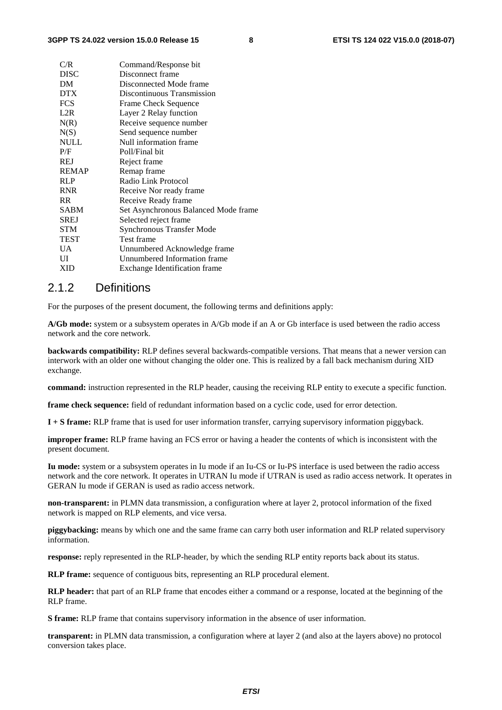| C/R          | Command/Response bit                 |
|--------------|--------------------------------------|
| <b>DISC</b>  | Disconnect frame                     |
| DM           | Disconnected Mode frame              |
| <b>DTX</b>   | Discontinuous Transmission           |
| <b>FCS</b>   | <b>Frame Check Sequence</b>          |
| L2R          | Layer 2 Relay function               |
| N(R)         | Receive sequence number              |
| N(S)         | Send sequence number                 |
| <b>NULL</b>  | Null information frame               |
| P/F          | Poll/Final bit                       |
| <b>REJ</b>   | Reject frame                         |
| <b>REMAP</b> | Remap frame                          |
| <b>RLP</b>   | Radio Link Protocol                  |
| <b>RNR</b>   | Receive Nor ready frame              |
| RR.          | Receive Ready frame                  |
| <b>SABM</b>  | Set Asynchronous Balanced Mode frame |
| <b>SREJ</b>  | Selected reject frame                |
| <b>STM</b>   | <b>Synchronous Transfer Mode</b>     |
| TEST         | Test frame                           |
| UA.          | Unnumbered Acknowledge frame         |
| UI           | Unnumbered Information frame         |
| XID          | Exchange Identification frame        |
|              |                                      |

#### 2.1.2 Definitions

For the purposes of the present document, the following terms and definitions apply:

**A/Gb mode:** system or a subsystem operates in A/Gb mode if an A or Gb interface is used between the radio access network and the core network.

**backwards compatibility:** RLP defines several backwards-compatible versions. That means that a newer version can interwork with an older one without changing the older one. This is realized by a fall back mechanism during XID exchange.

**command:** instruction represented in the RLP header, causing the receiving RLP entity to execute a specific function.

**frame check sequence:** field of redundant information based on a cyclic code, used for error detection.

**I + S frame:** RLP frame that is used for user information transfer, carrying supervisory information piggyback.

**improper frame:** RLP frame having an FCS error or having a header the contents of which is inconsistent with the present document.

**Iu mode:** system or a subsystem operates in Iu mode if an Iu-CS or Iu-PS interface is used between the radio access network and the core network. It operates in UTRAN Iu mode if UTRAN is used as radio access network. It operates in GERAN Iu mode if GERAN is used as radio access network.

**non-transparent:** in PLMN data transmission, a configuration where at layer 2, protocol information of the fixed network is mapped on RLP elements, and vice versa.

**piggybacking:** means by which one and the same frame can carry both user information and RLP related supervisory information.

**response:** reply represented in the RLP-header, by which the sending RLP entity reports back about its status.

**RLP frame:** sequence of contiguous bits, representing an RLP procedural element.

**RLP header:** that part of an RLP frame that encodes either a command or a response, located at the beginning of the RLP frame.

**S frame:** RLP frame that contains supervisory information in the absence of user information.

**transparent:** in PLMN data transmission, a configuration where at layer 2 (and also at the layers above) no protocol conversion takes place.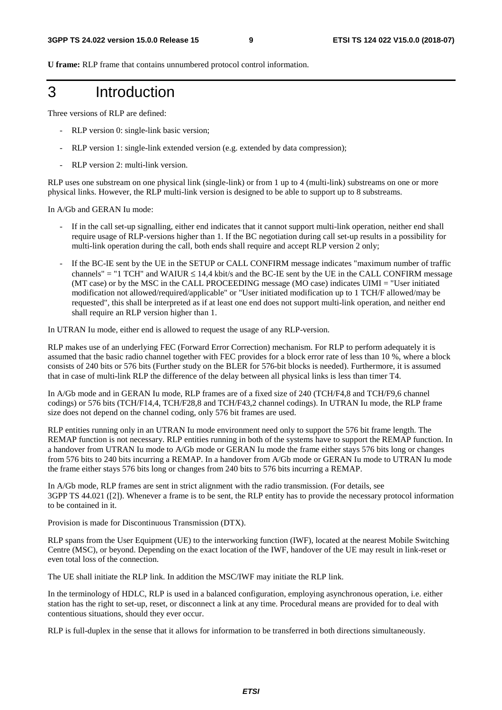**U frame:** RLP frame that contains unnumbered protocol control information.

3 Introduction

Three versions of RLP are defined:

- RLP version 0: single-link basic version;
- RLP version 1: single-link extended version (e.g. extended by data compression);
- RLP version 2: multi-link version.

RLP uses one substream on one physical link (single-link) or from 1 up to 4 (multi-link) substreams on one or more physical links. However, the RLP multi-link version is designed to be able to support up to 8 substreams.

In A/Gb and GERAN Iu mode:

- If in the call set-up signalling, either end indicates that it cannot support multi-link operation, neither end shall require usage of RLP-versions higher than 1. If the BC negotiation during call set-up results in a possibility for multi-link operation during the call, both ends shall require and accept RLP version 2 only;
- If the BC-IE sent by the UE in the SETUP or CALL CONFIRM message indicates "maximum number of traffic channels" = "1 TCH" and WAIUR  $\leq 14.4$  kbit/s and the BC-IE sent by the UE in the CALL CONFIRM message (MT case) or by the MSC in the CALL PROCEEDING message (MO case) indicates UIMI = "User initiated modification not allowed/required/applicable" or "User initiated modification up to 1 TCH/F allowed/may be requested", this shall be interpreted as if at least one end does not support multi-link operation, and neither end shall require an RLP version higher than 1.

In UTRAN Iu mode, either end is allowed to request the usage of any RLP-version.

RLP makes use of an underlying FEC (Forward Error Correction) mechanism. For RLP to perform adequately it is assumed that the basic radio channel together with FEC provides for a block error rate of less than 10 %, where a block consists of 240 bits or 576 bits (Further study on the BLER for 576-bit blocks is needed). Furthermore, it is assumed that in case of multi-link RLP the difference of the delay between all physical links is less than timer T4.

In A/Gb mode and in GERAN Iu mode, RLP frames are of a fixed size of 240 (TCH/F4,8 and TCH/F9,6 channel codings) or 576 bits (TCH/F14,4, TCH/F28,8 and TCH/F43,2 channel codings). In UTRAN Iu mode, the RLP frame size does not depend on the channel coding, only 576 bit frames are used.

RLP entities running only in an UTRAN Iu mode environment need only to support the 576 bit frame length. The REMAP function is not necessary. RLP entities running in both of the systems have to support the REMAP function. In a handover from UTRAN Iu mode to A/Gb mode or GERAN Iu mode the frame either stays 576 bits long or changes from 576 bits to 240 bits incurring a REMAP. In a handover from A/Gb mode or GERAN Iu mode to UTRAN Iu mode the frame either stays 576 bits long or changes from 240 bits to 576 bits incurring a REMAP.

In A/Gb mode, RLP frames are sent in strict alignment with the radio transmission. (For details, see 3GPP TS 44.021 ([2]). Whenever a frame is to be sent, the RLP entity has to provide the necessary protocol information to be contained in it.

Provision is made for Discontinuous Transmission (DTX).

RLP spans from the User Equipment (UE) to the interworking function (IWF), located at the nearest Mobile Switching Centre (MSC), or beyond. Depending on the exact location of the IWF, handover of the UE may result in link-reset or even total loss of the connection.

The UE shall initiate the RLP link. In addition the MSC/IWF may initiate the RLP link.

In the terminology of HDLC, RLP is used in a balanced configuration, employing asynchronous operation, i.e. either station has the right to set-up, reset, or disconnect a link at any time. Procedural means are provided for to deal with contentious situations, should they ever occur.

RLP is full-duplex in the sense that it allows for information to be transferred in both directions simultaneously.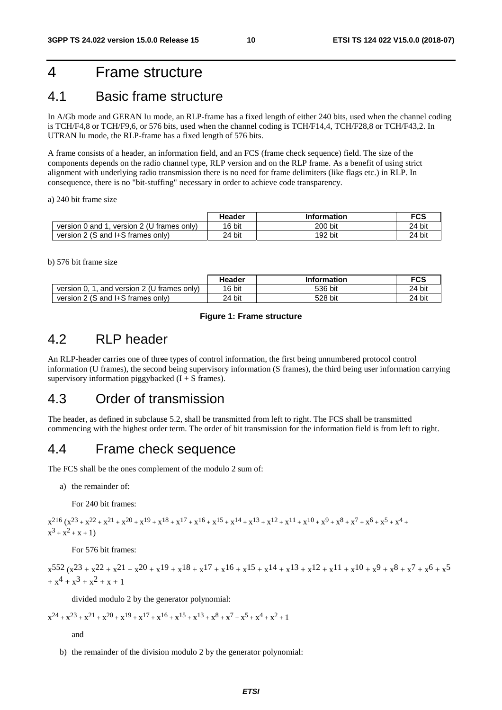## 4 Frame structure

## 4.1 Basic frame structure

In A/Gb mode and GERAN Iu mode, an RLP-frame has a fixed length of either 240 bits, used when the channel coding is TCH/F4,8 or TCH/F9,6, or 576 bits, used when the channel coding is TCH/F14,4, TCH/F28,8 or TCH/F43,2. In UTRAN Iu mode, the RLP-frame has a fixed length of 576 bits.

A frame consists of a header, an information field, and an FCS (frame check sequence) field. The size of the components depends on the radio channel type, RLP version and on the RLP frame. As a benefit of using strict alignment with underlying radio transmission there is no need for frame delimiters (like flags etc.) in RLP. In consequence, there is no "bit-stuffing" necessary in order to achieve code transparency.

a) 240 bit frame size

|                                              | Header | <b>Information</b> | <b>FCS</b> |
|----------------------------------------------|--------|--------------------|------------|
| version 2 (U frames only)<br>version 0 and 1 | 16 bit | 200 bit            | 24 bit     |
| version 2 (S and I+S frames only)            | 24 bit | 192 bit            | 24 bit     |

b) 576 bit frame size

|                                             | Header | <b>Information</b> | <b>FCS</b> |
|---------------------------------------------|--------|--------------------|------------|
| and version 2 (U frames only)<br>version 0, | 16 bit | 536 bit            | 24 bit     |
| version 2 (S and I+S frames only)           | 24 bit | 528 bit            | 24 bit     |

#### **Figure 1: Frame structure**

## 4.2 RLP header

An RLP-header carries one of three types of control information, the first being unnumbered protocol control information (U frames), the second being supervisory information (S frames), the third being user information carrying supervisory information piggybacked  $(I + S)$  frames).

### 4.3 Order of transmission

The header, as defined in subclause 5.2, shall be transmitted from left to right. The FCS shall be transmitted commencing with the highest order term. The order of bit transmission for the information field is from left to right.

### 4.4 Frame check sequence

The FCS shall be the ones complement of the modulo 2 sum of:

a) the remainder of:

For 240 bit frames:

 $x^{216}$   $(x^{23} + x^{22} + x^{21} + x^{20} + x^{19} + x^{18} + x^{17} + x^{16} + x^{15} + x^{14} + x^{13} + x^{12} + x^{11} + x^{10} + x^9 + x^8 + x^7 + x^6 + x^5 + x^4$  $x^3 + x^2 + x + 1$ 

For 576 bit frames:

$$
\begin{aligned} &x^{552}\,(x^{23} + x^{22} + x^{21} + x^{20} + x^{19} + x^{18} + x^{17} + x^{16} + x^{15} + x^{14} + x^{13} + x^{12} + x^{11} + x^{10} + x^9 + x^8 + x^7 + x^6 + x^5 \\& + x^4 + x^3 + x^2 + x + 1 \end{aligned}
$$

divided modulo 2 by the generator polynomial:

 $x^{24} + x^{23} + x^{21} + x^{20} + x^{19} + x^{17} + x^{16} + x^{15} + x^{13} + x^{8} + x^{7} + x^{5} + x^{4} + x^{2} + 1$ 

and

b) the remainder of the division modulo 2 by the generator polynomial: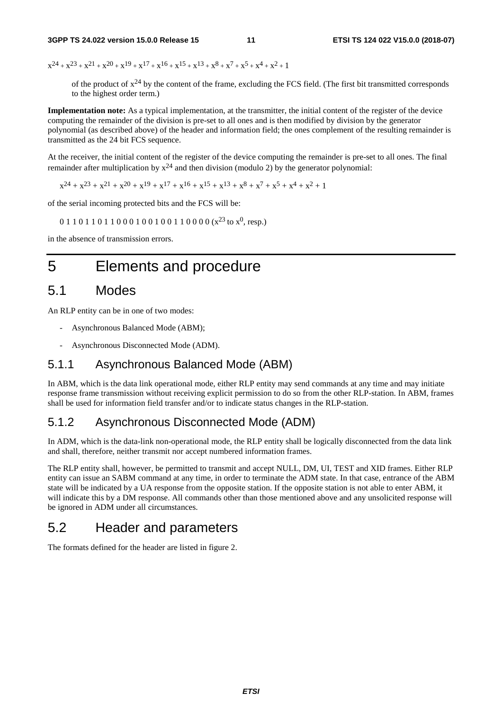$x^{24} + x^{23} + x^{21} + x^{20} + x^{19} + x^{17} + x^{16} + x^{15} + x^{13} + x^{8} + x^{7} + x^{5} + x^{4} + x^{2} + 1$ 

of the product of  $x^{24}$  by the content of the frame, excluding the FCS field. (The first bit transmitted corresponds to the highest order term.)

**Implementation note:** As a typical implementation, at the transmitter, the initial content of the register of the device computing the remainder of the division is pre-set to all ones and is then modified by division by the generator polynomial (as described above) of the header and information field; the ones complement of the resulting remainder is transmitted as the 24 bit FCS sequence.

At the receiver, the initial content of the register of the device computing the remainder is pre-set to all ones. The final remainder after multiplication by  $x^{24}$  and then division (modulo 2) by the generator polynomial:

 $x^{24} + x^{23} + x^{21} + x^{20} + x^{19} + x^{17} + x^{16} + x^{15} + x^{13} + x^{8} + x^{7} + x^{5} + x^{4} + x^{2} + 1$ 

of the serial incoming protected bits and the FCS will be:

 $0 1 1 0 1 1 0 1 1 0 0 0 1 0 0 1 0 0 1 1 0 0 0 0 (x<sup>23</sup> to x<sup>0</sup>, resp.)$ 

in the absence of transmission errors.

## 5 Elements and procedure

#### 5.1 Modes

An RLP entity can be in one of two modes:

- Asynchronous Balanced Mode (ABM);
- Asynchronous Disconnected Mode (ADM).

#### 5.1.1 Asynchronous Balanced Mode (ABM)

In ABM, which is the data link operational mode, either RLP entity may send commands at any time and may initiate response frame transmission without receiving explicit permission to do so from the other RLP-station. In ABM, frames shall be used for information field transfer and/or to indicate status changes in the RLP-station.

#### 5.1.2 Asynchronous Disconnected Mode (ADM)

In ADM, which is the data-link non-operational mode, the RLP entity shall be logically disconnected from the data link and shall, therefore, neither transmit nor accept numbered information frames.

The RLP entity shall, however, be permitted to transmit and accept NULL, DM, UI, TEST and XID frames. Either RLP entity can issue an SABM command at any time, in order to terminate the ADM state. In that case, entrance of the ABM state will be indicated by a UA response from the opposite station. If the opposite station is not able to enter ABM, it will indicate this by a DM response. All commands other than those mentioned above and any unsolicited response will be ignored in ADM under all circumstances.

### 5.2 Header and parameters

The formats defined for the header are listed in figure 2.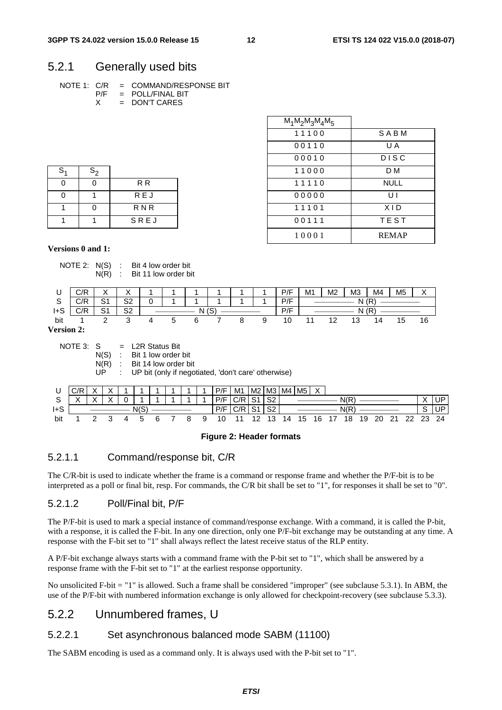#### 5.2.1 Generally used bits

|  | NOTE 1:   C/R      =   COMMAND/RESPONSE BIT |
|--|---------------------------------------------|
|  | $P/F = POLL/FINAL BIT$                      |
|  | $=$ DON'T CARES                             |

|                |          |                | $M_1M_2M_3M_4M_5$ |              |
|----------------|----------|----------------|-------------------|--------------|
|                |          |                | 11100             | SABM         |
|                |          |                | 00110             | U A          |
|                |          |                | 00010             | <b>DISC</b>  |
| $S_1$          | $S_2$    |                | 11000             | D M          |
| $\mathbf 0$    | $\Omega$ | R <sub>R</sub> | 11110             | <b>NULL</b>  |
| $\mathbf 0$    | 1        | <b>REJ</b>     | 00000             | UI           |
| $\overline{1}$ | $\Omega$ | <b>RNR</b>     | 11101             | <b>XID</b>   |
| $\overline{1}$ | 1        | SREJ           | 00111             | <b>TEST</b>  |
|                |          |                | 10001             | <b>REMAP</b> |

| S <sub>1</sub> | $S_{2}$ |                |
|----------------|---------|----------------|
|                | ሰ       | R <sub>R</sub> |
|                |         | <b>REJ</b>     |
|                | ሰ       | <b>RNR</b>     |
|                |         | SREJ           |

NOTE 2: N(S) : Bit 4 low order bit

**Versions 0 and 1:** 

#### N(R) : Bit 11 low order bit U | C/R | X | X | 1 | 1 | 1 | 1 | 1 | 1 | 1 | P/F | M1 | M2 | M3 | M4 | M5 | X S | C/R | S1 | S2 | 0 | 1 | 1 | 1 | 1 | 1 | P/F | N (R) I+S C/R S1 S2 \_\_\_\_\_\_\_\_\_\_\_\_\_\_ N (S) \_\_\_\_\_\_\_\_\_\_\_\_\_\_ P/F \_\_\_\_\_\_\_\_\_\_\_\_\_\_ N (R) \_\_\_\_\_\_\_\_\_\_\_\_\_\_ bit 1 2 3 4 5 6 7 8 9 10 11 12 13 14 15 16 **Version 2:** NOTE 3:  $S = L2R$  Status Bit N(S) : Bit 1 low order bit<br>N(R) : Bit 14 low order bi : Bit 14 low order bit UP : UP bit (only if negotiated, 'don't care' otherwise) U |C/R| X | X | 1 | 1 | 1 | 1 | 1 | 1 | P/F | M1 |M2 |M3 |M4 |M5 | X S X X X 0 1 1 1 1 1 P/F C/R S1 S2 \_\_\_\_\_\_\_\_\_\_\_\_\_\_ N(R) \_\_\_\_\_\_\_\_\_\_\_\_\_\_ X UP I+S  $\vert$   $\hphantom{a}$   $\hphantom{a}$   $\hphantom{a}$   $\hphantom{a}$   $\hphantom{a}$   $\hphantom{a}$   $\hphantom{a}$   $\hphantom{a}$   $\hphantom{a}$   $\hphantom{a}$   $\hphantom{a}$   $\hphantom{a}$   $\hphantom{a}$   $\hphantom{a}$   $\hphantom{a}$   $\hphantom{a}$   $\hphantom{a}$   $\hphantom{a}$   $\hphantom{a}$   $\hphantom{a}$   $\hphantom{a}$   $\h$ bit 1 2 3 4 5 6 7 8 9 10 11 12 13 14 15 16 17 18 19 20 21 22 23 24



#### 5.2.1.1 Command/response bit, C/R

The C/R-bit is used to indicate whether the frame is a command or response frame and whether the P/F-bit is to be interpreted as a poll or final bit, resp. For commands, the C/R bit shall be set to "1", for responses it shall be set to "0".

#### 5.2.1.2 Poll/Final bit, P/F

The P/F-bit is used to mark a special instance of command/response exchange. With a command, it is called the P-bit, with a response, it is called the F-bit. In any one direction, only one P/F-bit exchange may be outstanding at any time. A response with the F-bit set to "1" shall always reflect the latest receive status of the RLP entity.

A P/F-bit exchange always starts with a command frame with the P-bit set to "1", which shall be answered by a response frame with the F-bit set to "1" at the earliest response opportunity.

No unsolicited F-bit = "1" is allowed. Such a frame shall be considered "improper" (see subclause 5.3.1). In ABM, the use of the P/F-bit with numbered information exchange is only allowed for checkpoint-recovery (see subclause 5.3.3).

#### 5.2.2 Unnumbered frames, U

#### 5.2.2.1 Set asynchronous balanced mode SABM (11100)

The SABM encoding is used as a command only. It is always used with the P-bit set to "1".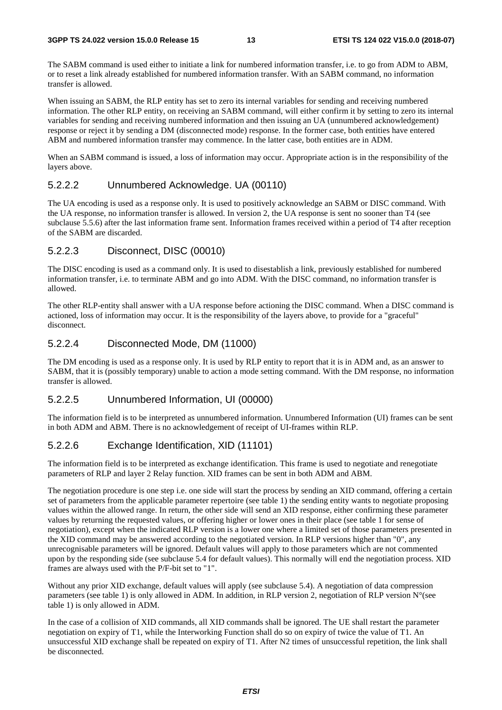The SABM command is used either to initiate a link for numbered information transfer, i.e. to go from ADM to ABM, or to reset a link already established for numbered information transfer. With an SABM command, no information transfer is allowed.

When issuing an SABM, the RLP entity has set to zero its internal variables for sending and receiving numbered information. The other RLP entity, on receiving an SABM command, will either confirm it by setting to zero its internal variables for sending and receiving numbered information and then issuing an UA (unnumbered acknowledgement) response or reject it by sending a DM (disconnected mode) response. In the former case, both entities have entered ABM and numbered information transfer may commence. In the latter case, both entities are in ADM.

When an SABM command is issued, a loss of information may occur. Appropriate action is in the responsibility of the layers above.

#### 5.2.2.2 Unnumbered Acknowledge. UA (00110)

The UA encoding is used as a response only. It is used to positively acknowledge an SABM or DISC command. With the UA response, no information transfer is allowed. In version 2, the UA response is sent no sooner than T4 (see subclause 5.5.6) after the last information frame sent. Information frames received within a period of T4 after reception of the SABM are discarded.

#### 5.2.2.3 Disconnect, DISC (00010)

The DISC encoding is used as a command only. It is used to disestablish a link, previously established for numbered information transfer, i.e. to terminate ABM and go into ADM. With the DISC command, no information transfer is allowed.

The other RLP-entity shall answer with a UA response before actioning the DISC command. When a DISC command is actioned, loss of information may occur. It is the responsibility of the layers above, to provide for a "graceful" disconnect.

#### 5.2.2.4 Disconnected Mode, DM (11000)

The DM encoding is used as a response only. It is used by RLP entity to report that it is in ADM and, as an answer to SABM, that it is (possibly temporary) unable to action a mode setting command. With the DM response, no information transfer is allowed.

#### 5.2.2.5 Unnumbered Information, UI (00000)

The information field is to be interpreted as unnumbered information. Unnumbered Information (UI) frames can be sent in both ADM and ABM. There is no acknowledgement of receipt of UI-frames within RLP.

#### 5.2.2.6 Exchange Identification, XID (11101)

The information field is to be interpreted as exchange identification. This frame is used to negotiate and renegotiate parameters of RLP and layer 2 Relay function. XID frames can be sent in both ADM and ABM.

The negotiation procedure is one step i.e. one side will start the process by sending an XID command, offering a certain set of parameters from the applicable parameter repertoire (see table 1) the sending entity wants to negotiate proposing values within the allowed range. In return, the other side will send an XID response, either confirming these parameter values by returning the requested values, or offering higher or lower ones in their place (see table 1 for sense of negotiation), except when the indicated RLP version is a lower one where a limited set of those parameters presented in the XID command may be answered according to the negotiated version. In RLP versions higher than "0", any unrecognisable parameters will be ignored. Default values will apply to those parameters which are not commented upon by the responding side (see subclause 5.4 for default values). This normally will end the negotiation process. XID frames are always used with the P/F-bit set to "1".

Without any prior XID exchange, default values will apply (see subclause 5.4). A negotiation of data compression parameters (see table 1) is only allowed in ADM. In addition, in RLP version 2, negotiation of RLP version N°(see table 1) is only allowed in ADM.

In the case of a collision of XID commands, all XID commands shall be ignored. The UE shall restart the parameter negotiation on expiry of T1, while the Interworking Function shall do so on expiry of twice the value of T1. An unsuccessful XID exchange shall be repeated on expiry of T1. After N2 times of unsuccessful repetition, the link shall be disconnected.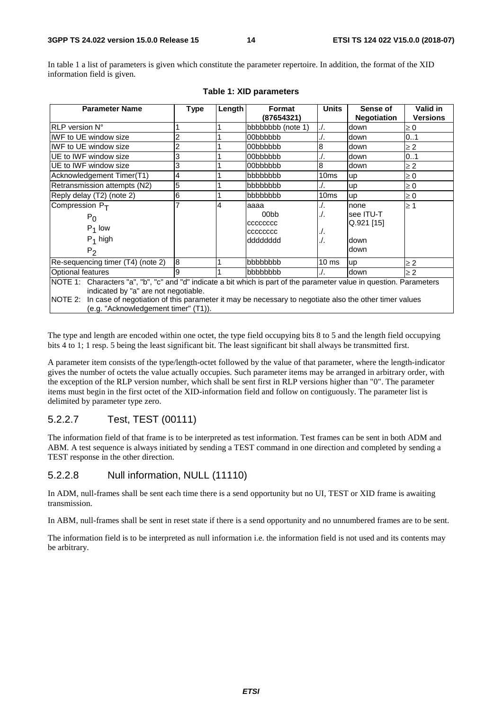In table 1 a list of parameters is given which constitute the parameter repertoire. In addition, the format of the XID information field is given.

| <b>Parameter Name</b>                                                                                                                                                                                                                                                         | <b>Type</b>                          | Length | Format<br>(87654321) | <b>Units</b>     | Sense of<br><b>Negotiation</b> | Valid in<br><b>Versions</b> |
|-------------------------------------------------------------------------------------------------------------------------------------------------------------------------------------------------------------------------------------------------------------------------------|--------------------------------------|--------|----------------------|------------------|--------------------------------|-----------------------------|
| RLP version N°                                                                                                                                                                                                                                                                |                                      |        | bbbbbbbb (note 1)    | $\Lambda$ .      | down                           | $\geq 0$                    |
| <b>IWF to UE window size</b>                                                                                                                                                                                                                                                  |                                      |        | 00bbbbbb             | ./.              | down                           | 0.1                         |
| IWF to UE window size                                                                                                                                                                                                                                                         |                                      |        | 00bbbbbb             | 8                | down                           | $\geq$ 2                    |
| UE to IWF window size                                                                                                                                                                                                                                                         | 3                                    |        | 00bbbbbb             | ./.              | down                           | 0.1                         |
| UE to IWF window size                                                                                                                                                                                                                                                         | 3                                    |        | 00bbbbbb             | 8                | down                           | $\geq$ 2                    |
| Acknowledgement Timer(T1)                                                                                                                                                                                                                                                     | 4                                    |        | bbbbbbb              | 10 <sub>ms</sub> | up                             | $\geq 0$                    |
| Retransmission attempts (N2)                                                                                                                                                                                                                                                  | 5                                    |        | bbbbbbb              | ./.              | up                             | $\geq 0$                    |
| Reply delay (T2) (note 2)                                                                                                                                                                                                                                                     | 6                                    |        | bbbbbbb              | 10 <sub>ms</sub> | up                             | $\geq 0$                    |
| Compression $P_T$                                                                                                                                                                                                                                                             |                                      | 4      | aaaa                 | ./.              | none                           | $\geq 1$                    |
| $P_0$                                                                                                                                                                                                                                                                         |                                      |        | 00 <sub>b</sub>      | ./.              | see ITU-T                      |                             |
| $P_1$ low                                                                                                                                                                                                                                                                     |                                      |        | CCCCCCCC             |                  | $Q.921$ [15]                   |                             |
|                                                                                                                                                                                                                                                                               |                                      |        | CCCCCCCC             | ./ .             |                                |                             |
| $P_1$ high                                                                                                                                                                                                                                                                    |                                      |        | dddddddd             | ./.              | down                           |                             |
| $P_2$                                                                                                                                                                                                                                                                         |                                      |        |                      |                  | down                           |                             |
| Re-sequencing timer (T4) (note 2)                                                                                                                                                                                                                                             | 8                                    |        | bbbbbbb              | $10 \text{ ms}$  | up                             | $\geq$ 2                    |
| Optional features                                                                                                                                                                                                                                                             | 9                                    |        | bbbbbbb              | ./.              | down                           | $\geq$ 2                    |
| NOTE 1: Characters "a", "b", "c" and "d" indicate a bit which is part of the parameter value in question. Parameters<br>indicated by "a" are not negotiable.<br>NOTE 2: In case of negotiation of this parameter it may be necessary to negotiate also the other timer values |                                      |        |                      |                  |                                |                             |
|                                                                                                                                                                                                                                                                               | (e.g. "Acknowledgement timer" (T1)). |        |                      |                  |                                |                             |

#### **Table 1: XID parameters**

The type and length are encoded within one octet, the type field occupying bits 8 to 5 and the length field occupying bits 4 to 1; 1 resp. 5 being the least significant bit. The least significant bit shall always be transmitted first.

A parameter item consists of the type/length-octet followed by the value of that parameter, where the length-indicator gives the number of octets the value actually occupies. Such parameter items may be arranged in arbitrary order, with the exception of the RLP version number, which shall be sent first in RLP versions higher than "0". The parameter items must begin in the first octet of the XID-information field and follow on contiguously. The parameter list is delimited by parameter type zero.

#### 5.2.2.7 Test, TEST (00111)

The information field of that frame is to be interpreted as test information. Test frames can be sent in both ADM and ABM. A test sequence is always initiated by sending a TEST command in one direction and completed by sending a TEST response in the other direction.

#### 5.2.2.8 Null information, NULL (11110)

In ADM, null-frames shall be sent each time there is a send opportunity but no UI, TEST or XID frame is awaiting transmission.

In ABM, null-frames shall be sent in reset state if there is a send opportunity and no unnumbered frames are to be sent.

The information field is to be interpreted as null information i.e. the information field is not used and its contents may be arbitrary.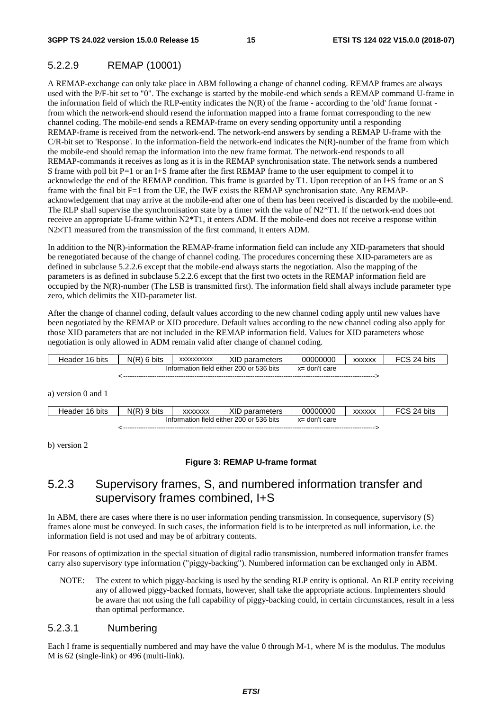#### 5.2.2.9 REMAP (10001)

A REMAP-exchange can only take place in ABM following a change of channel coding. REMAP frames are always used with the P/F-bit set to "0". The exchange is started by the mobile-end which sends a REMAP command U-frame in the information field of which the RLP-entity indicates the  $N(R)$  of the frame - according to the 'old' frame format from which the network-end should resend the information mapped into a frame format corresponding to the new channel coding. The mobile-end sends a REMAP-frame on every sending opportunity until a responding REMAP-frame is received from the network-end. The network-end answers by sending a REMAP U-frame with the C/R-bit set to 'Response'. In the information-field the network-end indicates the N(R)-number of the frame from which the mobile-end should remap the information into the new frame format. The network-end responds to all REMAP-commands it receives as long as it is in the REMAP synchronisation state. The network sends a numbered S frame with poll bit P=1 or an I+S frame after the first REMAP frame to the user equipment to compel it to acknowledge the end of the REMAP condition. This frame is guarded by T1. Upon reception of an I+S frame or an S frame with the final bit F=1 from the UE, the IWF exists the REMAP synchronisation state. Any REMAPacknowledgement that may arrive at the mobile-end after one of them has been received is discarded by the mobile-end. The RLP shall supervise the synchronisation state by a timer with the value of  $N2*T1$ . If the network-end does not receive an appropriate U-frame within N2\*T1, it enters ADM. If the mobile-end does not receive a response within N2×T1 measured from the transmission of the first command, it enters ADM.

In addition to the N(R)-information the REMAP-frame information field can include any XID-parameters that should be renegotiated because of the change of channel coding. The procedures concerning these XID-parameters are as defined in subclause 5.2.2.6 except that the mobile-end always starts the negotiation. Also the mapping of the parameters is as defined in subclause 5.2.2.6 except that the first two octets in the REMAP information field are occupied by the  $N(R)$ -number (The LSB is transmitted first). The information field shall always include parameter type zero, which delimits the XID-parameter list.

After the change of channel coding, default values according to the new channel coding apply until new values have been negotiated by the REMAP or XID procedure. Default values according to the new channel coding also apply for those XID parameters that are not included in the REMAP information field. Values for XID parameters whose negotiation is only allowed in ADM remain valid after change of channel coding.

| Header 16 bits                                               | $N(R)$ 6 bits | <b>XXXXXXXXXX</b>                        | XID parameters | 00000000         | <b>XXXXXX</b> | FCS 24 bits |
|--------------------------------------------------------------|---------------|------------------------------------------|----------------|------------------|---------------|-------------|
|                                                              |               | Information field either 200 or 536 bits |                | $x =$ don't care |               |             |
|                                                              |               |                                          |                |                  |               |             |
| a) version $0$ and $1$                                       |               |                                          |                |                  |               |             |
| Header 16 bits                                               | $N(R)$ 9 bits | <b>XXXXXXX</b>                           | XID parameters | 00000000         | <b>XXXXXX</b> | FCS 24 bits |
| Information field either 200 or 536 bits<br>$x =$ don't care |               |                                          |                |                  |               |             |

< ----------------------------------------------------------------------------------------------------------------- >

b) version 2

#### **Figure 3: REMAP U-frame format**

### 5.2.3 Supervisory frames, S, and numbered information transfer and supervisory frames combined, I+S

In ABM, there are cases where there is no user information pending transmission. In consequence, supervisory (S) frames alone must be conveyed. In such cases, the information field is to be interpreted as null information, i.e. the information field is not used and may be of arbitrary contents.

For reasons of optimization in the special situation of digital radio transmission, numbered information transfer frames carry also supervisory type information ("piggy-backing"). Numbered information can be exchanged only in ABM.

NOTE: The extent to which piggy-backing is used by the sending RLP entity is optional. An RLP entity receiving any of allowed piggy-backed formats, however, shall take the appropriate actions. Implementers should be aware that not using the full capability of piggy-backing could, in certain circumstances, result in a less than optimal performance.

#### 5.2.3.1 Numbering

Each I frame is sequentially numbered and may have the value 0 through M-1, where M is the modulus. The modulus M is 62 (single-link) or 496 (multi-link).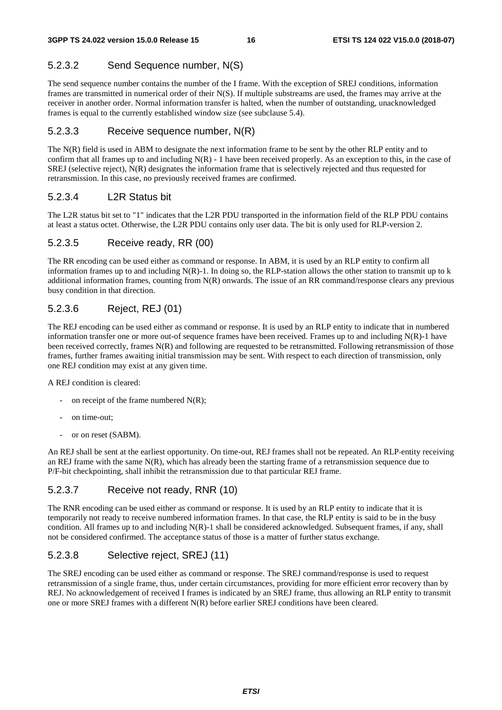#### 5.2.3.2 Send Sequence number, N(S)

The send sequence number contains the number of the I frame. With the exception of SREJ conditions, information frames are transmitted in numerical order of their N(S). If multiple substreams are used, the frames may arrive at the receiver in another order. Normal information transfer is halted, when the number of outstanding, unacknowledged frames is equal to the currently established window size (see subclause 5.4).

#### 5.2.3.3 Receive sequence number, N(R)

The N(R) field is used in ABM to designate the next information frame to be sent by the other RLP entity and to confirm that all frames up to and including  $N(R)$  - 1 have been received properly. As an exception to this, in the case of SREJ (selective reject), N(R) designates the information frame that is selectively rejected and thus requested for retransmission. In this case, no previously received frames are confirmed.

#### 5.2.3.4 L2R Status bit

The L2R status bit set to "1" indicates that the L2R PDU transported in the information field of the RLP PDU contains at least a status octet. Otherwise, the L2R PDU contains only user data. The bit is only used for RLP-version 2.

#### 5.2.3.5 Receive ready, RR (00)

The RR encoding can be used either as command or response. In ABM, it is used by an RLP entity to confirm all information frames up to and including  $N(R)$ -1. In doing so, the RLP-station allows the other station to transmit up to k additional information frames, counting from N(R) onwards. The issue of an RR command/response clears any previous busy condition in that direction.

#### 5.2.3.6 Reject, REJ (01)

The REJ encoding can be used either as command or response. It is used by an RLP entity to indicate that in numbered information transfer one or more out-of sequence frames have been received. Frames up to and including N(R)-1 have been received correctly, frames N(R) and following are requested to be retransmitted. Following retransmission of those frames, further frames awaiting initial transmission may be sent. With respect to each direction of transmission, only one REJ condition may exist at any given time.

A REJ condition is cleared:

- on receipt of the frame numbered  $N(R)$ ;
- on time-out:
- or on reset (SABM).

An REJ shall be sent at the earliest opportunity. On time-out, REJ frames shall not be repeated. An RLP-entity receiving an REJ frame with the same  $N(R)$ , which has already been the starting frame of a retransmission sequence due to P/F-bit checkpointing, shall inhibit the retransmission due to that particular REJ frame.

#### 5.2.3.7 Receive not ready, RNR (10)

The RNR encoding can be used either as command or response. It is used by an RLP entity to indicate that it is temporarily not ready to receive numbered information frames. In that case, the RLP entity is said to be in the busy condition. All frames up to and including  $N(R)$ -1 shall be considered acknowledged. Subsequent frames, if any, shall not be considered confirmed. The acceptance status of those is a matter of further status exchange.

#### 5.2.3.8 Selective reject, SREJ (11)

The SREJ encoding can be used either as command or response. The SREJ command/response is used to request retransmission of a single frame, thus, under certain circumstances, providing for more efficient error recovery than by REJ. No acknowledgement of received I frames is indicated by an SREJ frame, thus allowing an RLP entity to transmit one or more SREJ frames with a different N(R) before earlier SREJ conditions have been cleared.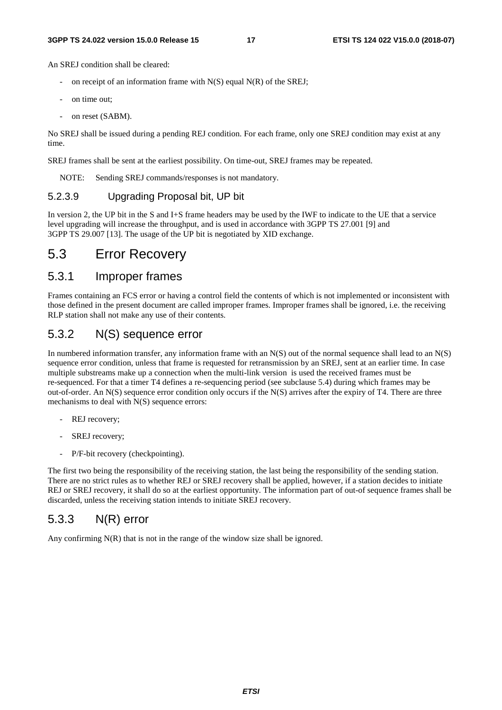#### **3GPP TS 24.022 version 15.0.0 Release 15 17 ETSI TS 124 022 V15.0.0 (2018-07)**

An SREJ condition shall be cleared:

- on receipt of an information frame with  $N(S)$  equal  $N(R)$  of the SREJ;
- on time out:
- on reset (SABM).

No SREJ shall be issued during a pending REJ condition. For each frame, only one SREJ condition may exist at any time.

SREJ frames shall be sent at the earliest possibility. On time-out, SREJ frames may be repeated.

NOTE: Sending SREJ commands/responses is not mandatory.

#### 5.2.3.9 Upgrading Proposal bit, UP bit

In version 2, the UP bit in the S and I+S frame headers may be used by the IWF to indicate to the UE that a service level upgrading will increase the throughput, and is used in accordance with 3GPP TS 27.001 [9] and 3GPP TS 29.007 [13]. The usage of the UP bit is negotiated by XID exchange.

## 5.3 Error Recovery

#### 5.3.1 Improper frames

Frames containing an FCS error or having a control field the contents of which is not implemented or inconsistent with those defined in the present document are called improper frames. Improper frames shall be ignored, i.e. the receiving RLP station shall not make any use of their contents.

#### 5.3.2 N(S) sequence error

In numbered information transfer, any information frame with an  $N(S)$  out of the normal sequence shall lead to an  $N(S)$ sequence error condition, unless that frame is requested for retransmission by an SREJ, sent at an earlier time. In case multiple substreams make up a connection when the multi-link version is used the received frames must be re-sequenced. For that a timer T4 defines a re-sequencing period (see subclause 5.4) during which frames may be out-of-order. An N(S) sequence error condition only occurs if the N(S) arrives after the expiry of T4. There are three mechanisms to deal with N(S) sequence errors:

- REJ recovery;
- SREJ recovery;
- P/F-bit recovery (checkpointing).

The first two being the responsibility of the receiving station, the last being the responsibility of the sending station. There are no strict rules as to whether REJ or SREJ recovery shall be applied, however, if a station decides to initiate REJ or SREJ recovery, it shall do so at the earliest opportunity. The information part of out-of sequence frames shall be discarded, unless the receiving station intends to initiate SREJ recovery.

#### 5.3.3 N(R) error

Any confirming  $N(R)$  that is not in the range of the window size shall be ignored.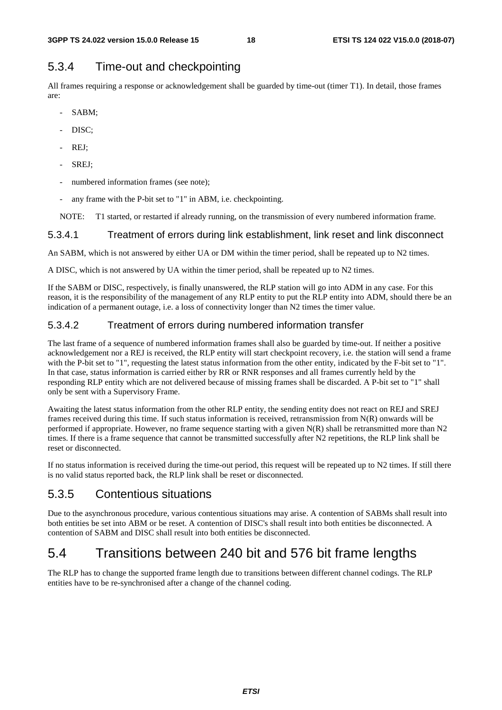### 5.3.4 Time-out and checkpointing

All frames requiring a response or acknowledgement shall be guarded by time-out (timer T1). In detail, those frames are:

- SABM;
- DISC;
- REJ:
- SREJ:
- numbered information frames (see note);
- any frame with the P-bit set to "1" in ABM, i.e. checkpointing.

NOTE: T1 started, or restarted if already running, on the transmission of every numbered information frame.

#### 5.3.4.1 Treatment of errors during link establishment, link reset and link disconnect

An SABM, which is not answered by either UA or DM within the timer period, shall be repeated up to N2 times.

A DISC, which is not answered by UA within the timer period, shall be repeated up to N2 times.

If the SABM or DISC, respectively, is finally unanswered, the RLP station will go into ADM in any case. For this reason, it is the responsibility of the management of any RLP entity to put the RLP entity into ADM, should there be an indication of a permanent outage, i.e. a loss of connectivity longer than N2 times the timer value.

#### 5.3.4.2 Treatment of errors during numbered information transfer

The last frame of a sequence of numbered information frames shall also be guarded by time-out. If neither a positive acknowledgement nor a REJ is received, the RLP entity will start checkpoint recovery, i.e. the station will send a frame with the P-bit set to "1", requesting the latest status information from the other entity, indicated by the F-bit set to "1". In that case, status information is carried either by RR or RNR responses and all frames currently held by the responding RLP entity which are not delivered because of missing frames shall be discarded. A P-bit set to "1" shall only be sent with a Supervisory Frame.

Awaiting the latest status information from the other RLP entity, the sending entity does not react on REJ and SREJ frames received during this time. If such status information is received, retransmission from  $N(R)$  onwards will be performed if appropriate. However, no frame sequence starting with a given N(R) shall be retransmitted more than N2 times. If there is a frame sequence that cannot be transmitted successfully after N2 repetitions, the RLP link shall be reset or disconnected.

If no status information is received during the time-out period, this request will be repeated up to N2 times. If still there is no valid status reported back, the RLP link shall be reset or disconnected.

### 5.3.5 Contentious situations

Due to the asynchronous procedure, various contentious situations may arise. A contention of SABMs shall result into both entities be set into ABM or be reset. A contention of DISC's shall result into both entities be disconnected. A contention of SABM and DISC shall result into both entities be disconnected.

## 5.4 Transitions between 240 bit and 576 bit frame lengths

The RLP has to change the supported frame length due to transitions between different channel codings. The RLP entities have to be re-synchronised after a change of the channel coding.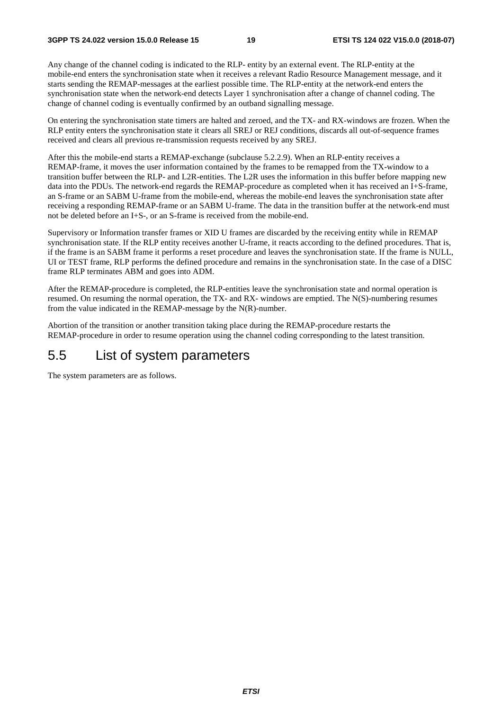Any change of the channel coding is indicated to the RLP- entity by an external event. The RLP-entity at the mobile-end enters the synchronisation state when it receives a relevant Radio Resource Management message, and it starts sending the REMAP-messages at the earliest possible time. The RLP-entity at the network-end enters the synchronisation state when the network-end detects Layer 1 synchronisation after a change of channel coding. The change of channel coding is eventually confirmed by an outband signalling message.

On entering the synchronisation state timers are halted and zeroed, and the TX- and RX-windows are frozen. When the RLP entity enters the synchronisation state it clears all SREJ or REJ conditions, discards all out-of-sequence frames received and clears all previous re-transmission requests received by any SREJ.

After this the mobile-end starts a REMAP-exchange (subclause 5.2.2.9). When an RLP-entity receives a REMAP-frame, it moves the user information contained by the frames to be remapped from the TX-window to a transition buffer between the RLP- and L2R-entities. The L2R uses the information in this buffer before mapping new data into the PDUs. The network-end regards the REMAP-procedure as completed when it has received an I+S-frame, an S-frame or an SABM U-frame from the mobile-end, whereas the mobile-end leaves the synchronisation state after receiving a responding REMAP-frame or an SABM U-frame. The data in the transition buffer at the network-end must not be deleted before an I+S-, or an S-frame is received from the mobile-end.

Supervisory or Information transfer frames or XID U frames are discarded by the receiving entity while in REMAP synchronisation state. If the RLP entity receives another U-frame, it reacts according to the defined procedures. That is, if the frame is an SABM frame it performs a reset procedure and leaves the synchronisation state. If the frame is NULL, UI or TEST frame, RLP performs the defined procedure and remains in the synchronisation state. In the case of a DISC frame RLP terminates ABM and goes into ADM.

After the REMAP-procedure is completed, the RLP-entities leave the synchronisation state and normal operation is resumed. On resuming the normal operation, the TX- and RX- windows are emptied. The N(S)-numbering resumes from the value indicated in the REMAP-message by the N(R)-number.

Abortion of the transition or another transition taking place during the REMAP-procedure restarts the REMAP-procedure in order to resume operation using the channel coding corresponding to the latest transition.

### 5.5 List of system parameters

The system parameters are as follows.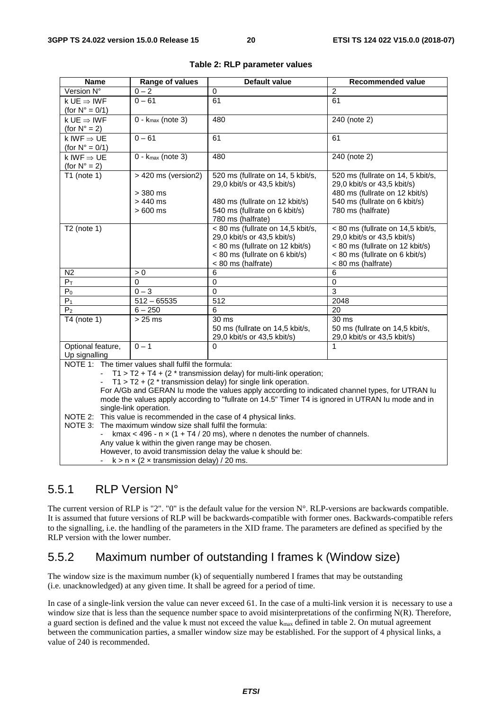| <b>Name</b>                                                                                                            | Range of values                                                                                                                                 | <b>Default value</b>                                                                                                                                        | <b>Recommended value</b>                                                                                                                                    |  |  |  |  |  |
|------------------------------------------------------------------------------------------------------------------------|-------------------------------------------------------------------------------------------------------------------------------------------------|-------------------------------------------------------------------------------------------------------------------------------------------------------------|-------------------------------------------------------------------------------------------------------------------------------------------------------------|--|--|--|--|--|
| Version N°                                                                                                             | $0 - 2$                                                                                                                                         | 0                                                                                                                                                           | $\overline{c}$                                                                                                                                              |  |  |  |  |  |
| $k \, \text{UE} \Rightarrow \text{IWF}$                                                                                | $0 - 61$                                                                                                                                        | 61                                                                                                                                                          | 61                                                                                                                                                          |  |  |  |  |  |
| (for $N^{\circ} = 0/1$ )                                                                                               |                                                                                                                                                 |                                                                                                                                                             |                                                                                                                                                             |  |  |  |  |  |
| $k \, \text{UE} \Rightarrow \text{IWF}$                                                                                | $0 - k_{max}$ (note 3)                                                                                                                          | 480                                                                                                                                                         | 240 (note 2)                                                                                                                                                |  |  |  |  |  |
| (for $N^\circ = 2$ )                                                                                                   |                                                                                                                                                 |                                                                                                                                                             |                                                                                                                                                             |  |  |  |  |  |
| k IWF $\Rightarrow$ UE                                                                                                 | $0 - 61$                                                                                                                                        | 61                                                                                                                                                          | 61                                                                                                                                                          |  |  |  |  |  |
| (for $N^{\circ} = 0/1$ )                                                                                               |                                                                                                                                                 |                                                                                                                                                             |                                                                                                                                                             |  |  |  |  |  |
| k IWF $\Rightarrow$ UE                                                                                                 | $0 - k_{max}$ (note 3)                                                                                                                          | 480                                                                                                                                                         | 240 (note 2)                                                                                                                                                |  |  |  |  |  |
| (for $N^\circ = 2$ )                                                                                                   |                                                                                                                                                 |                                                                                                                                                             |                                                                                                                                                             |  |  |  |  |  |
| T1 (note $1$ )                                                                                                         | > 420 ms (version2)<br>$>$ 380 ms<br>$>440$ ms                                                                                                  | 520 ms (fullrate on 14, 5 kbit/s,<br>29,0 kbit/s or 43,5 kbit/s)<br>480 ms (fullrate on 12 kbit/s)                                                          | 520 ms (fullrate on 14, 5 kbit/s,<br>29,0 kbit/s or 43,5 kbit/s)<br>480 ms (fullrate on 12 kbit/s)<br>540 ms (fullrate on 6 kbit/s)                         |  |  |  |  |  |
|                                                                                                                        | $>600$ ms                                                                                                                                       | 540 ms (fullrate on 6 kbit/s)<br>780 ms (halfrate)                                                                                                          | 780 ms (halfrate)                                                                                                                                           |  |  |  |  |  |
| $T2$ (note 1)                                                                                                          |                                                                                                                                                 | < 80 ms (fullrate on 14,5 kbit/s,<br>29,0 kbit/s or 43,5 kbit/s)<br>< 80 ms (fullrate on 12 kbit/s)<br>< 80 ms (fullrate on 6 kbit/s)<br>< 80 ms (halfrate) | < 80 ms (fullrate on 14,5 kbit/s,<br>29,0 kbit/s or 43,5 kbit/s)<br>< 80 ms (fullrate on 12 kbit/s)<br>< 80 ms (fullrate on 6 kbit/s)<br>< 80 ms (halfrate) |  |  |  |  |  |
| N <sub>2</sub>                                                                                                         | > 0                                                                                                                                             | 6                                                                                                                                                           | 6                                                                                                                                                           |  |  |  |  |  |
| $P_T$                                                                                                                  | 0                                                                                                                                               | $\pmb{0}$                                                                                                                                                   | $\mathsf 0$                                                                                                                                                 |  |  |  |  |  |
| $\overline{P_0}$                                                                                                       | $0 - 3$                                                                                                                                         | $\overline{0}$                                                                                                                                              | $\overline{3}$                                                                                                                                              |  |  |  |  |  |
| P <sub>1</sub>                                                                                                         | $512 - 65535$                                                                                                                                   | 512                                                                                                                                                         | 2048                                                                                                                                                        |  |  |  |  |  |
| P <sub>2</sub>                                                                                                         | $6 - 250$                                                                                                                                       | 6                                                                                                                                                           | 20                                                                                                                                                          |  |  |  |  |  |
| $\overline{14}$ (note 1)                                                                                               | $>25$ ms                                                                                                                                        | 30 ms<br>50 ms (fullrate on 14,5 kbit/s,<br>29,0 kbit/s or 43,5 kbit/s)                                                                                     | 30 <sub>ms</sub><br>50 ms (fullrate on 14,5 kbit/s,<br>29,0 kbit/s or 43,5 kbit/s)                                                                          |  |  |  |  |  |
| Optional feature,                                                                                                      | $0 - 1$                                                                                                                                         | 0                                                                                                                                                           | $\mathbf{1}$                                                                                                                                                |  |  |  |  |  |
| Up signalling                                                                                                          |                                                                                                                                                 |                                                                                                                                                             |                                                                                                                                                             |  |  |  |  |  |
|                                                                                                                        | NOTE 1: The timer values shall fulfil the formula:                                                                                              |                                                                                                                                                             |                                                                                                                                                             |  |  |  |  |  |
| $T1 > T2 + T4 + (2 * transmission delay)$ for multi-link operation;                                                    |                                                                                                                                                 |                                                                                                                                                             |                                                                                                                                                             |  |  |  |  |  |
| $T1 > T2 + (2 * transmission delay)$ for single link operation.                                                        |                                                                                                                                                 |                                                                                                                                                             |                                                                                                                                                             |  |  |  |  |  |
| For A/Gb and GERAN Iu mode the values apply according to indicated channel types, for UTRAN Iu                         |                                                                                                                                                 |                                                                                                                                                             |                                                                                                                                                             |  |  |  |  |  |
| mode the values apply according to "fullrate on 14.5" Timer T4 is ignored in UTRAN Iu mode and in                      |                                                                                                                                                 |                                                                                                                                                             |                                                                                                                                                             |  |  |  |  |  |
| single-link operation.                                                                                                 |                                                                                                                                                 |                                                                                                                                                             |                                                                                                                                                             |  |  |  |  |  |
| This value is recommended in the case of 4 physical links.<br>NOTE 2:                                                  |                                                                                                                                                 |                                                                                                                                                             |                                                                                                                                                             |  |  |  |  |  |
| NOTE 3:<br>The maximum window size shall fulfil the formula:                                                           |                                                                                                                                                 |                                                                                                                                                             |                                                                                                                                                             |  |  |  |  |  |
|                                                                                                                        | kmax < 496 - $n \times (1 + T4 / 20 \text{ ms})$ , where n denotes the number of channels.<br>Any value k within the given range may be chosen. |                                                                                                                                                             |                                                                                                                                                             |  |  |  |  |  |
|                                                                                                                        |                                                                                                                                                 |                                                                                                                                                             |                                                                                                                                                             |  |  |  |  |  |
| However, to avoid transmission delay the value k should be:<br>- $k > n \times (2 \times$ transmission delay) / 20 ms. |                                                                                                                                                 |                                                                                                                                                             |                                                                                                                                                             |  |  |  |  |  |

#### **Table 2: RLP parameter values**

### 5.5.1 RLP Version N°

The current version of RLP is "2". "0" is the default value for the version  $N^{\circ}$ . RLP-versions are backwards compatible. It is assumed that future versions of RLP will be backwards-compatible with former ones. Backwards-compatible refers to the signalling, i.e. the handling of the parameters in the XID frame. The parameters are defined as specified by the RLP version with the lower number.

### 5.5.2 Maximum number of outstanding I frames k (Window size)

The window size is the maximum number (k) of sequentially numbered I frames that may be outstanding (i.e. unacknowledged) at any given time. It shall be agreed for a period of time.

In case of a single-link version the value can never exceed 61. In the case of a multi-link version it is necessary to use a window size that is less than the sequence number space to avoid misinterpretations of the confirming N(R). Therefore, a guard section is defined and the value k must not exceed the value  $k_{\text{max}}$  defined in table 2. On mutual agreement between the communication parties, a smaller window size may be established. For the support of 4 physical links, a value of 240 is recommended.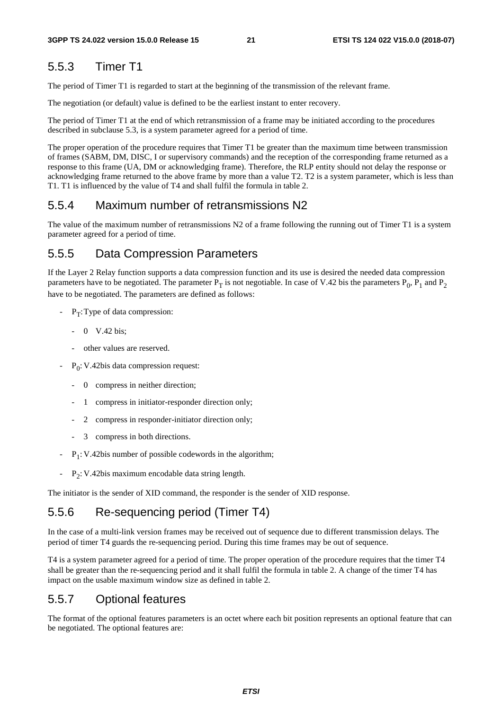### 5.5.3 Timer T1

The period of Timer T1 is regarded to start at the beginning of the transmission of the relevant frame.

The negotiation (or default) value is defined to be the earliest instant to enter recovery.

The period of Timer T1 at the end of which retransmission of a frame may be initiated according to the procedures described in subclause 5.3, is a system parameter agreed for a period of time.

The proper operation of the procedure requires that Timer T1 be greater than the maximum time between transmission of frames (SABM, DM, DISC, I or supervisory commands) and the reception of the corresponding frame returned as a response to this frame (UA, DM or acknowledging frame). Therefore, the RLP entity should not delay the response or acknowledging frame returned to the above frame by more than a value T2. T2 is a system parameter, which is less than T1. T1 is influenced by the value of T4 and shall fulfil the formula in table 2.

#### 5.5.4 Maximum number of retransmissions N2

The value of the maximum number of retransmissions N2 of a frame following the running out of Timer T1 is a system parameter agreed for a period of time.

#### 5.5.5 Data Compression Parameters

If the Layer 2 Relay function supports a data compression function and its use is desired the needed data compression parameters have to be negotiated. The parameter  $P_T$  is not negotiable. In case of V.42 bis the parameters  $P_0$ ,  $P_1$  and  $P_2$ have to be negotiated. The parameters are defined as follows:

- $-P_T$ : Type of data compression:
	- 0 V.42 bis;
	- other values are reserved.
- $-P_0$ : V.42bis data compression request:
	- 0 compress in neither direction;
	- 1 compress in initiator-responder direction only;
	- 2 compress in responder-initiator direction only;
	- 3 compress in both directions.
- $-P_1$ : V.42bis number of possible codewords in the algorithm;
- $P_2$ : V.42bis maximum encodable data string length.

The initiator is the sender of XID command, the responder is the sender of XID response.

### 5.5.6 Re-sequencing period (Timer T4)

In the case of a multi-link version frames may be received out of sequence due to different transmission delays. The period of timer T4 guards the re-sequencing period. During this time frames may be out of sequence.

T4 is a system parameter agreed for a period of time. The proper operation of the procedure requires that the timer T4 shall be greater than the re-sequencing period and it shall fulfil the formula in table 2. A change of the timer T4 has impact on the usable maximum window size as defined in table 2.

#### 5.5.7 Optional features

The format of the optional features parameters is an octet where each bit position represents an optional feature that can be negotiated. The optional features are: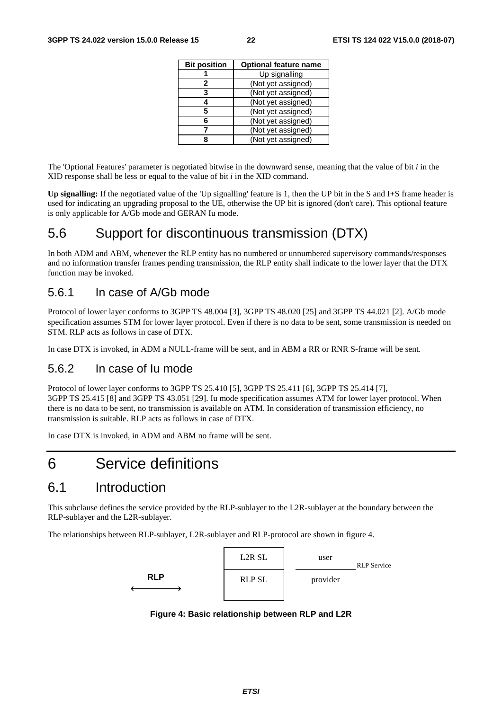| <b>Bit position</b> | <b>Optional feature name</b> |
|---------------------|------------------------------|
|                     | Up signalling                |
| 2                   | (Not yet assigned)           |
| 3                   | (Not yet assigned)           |
|                     | (Not yet assigned)           |
| 5                   | (Not yet assigned)           |
| 6                   | (Not yet assigned)           |
|                     | (Not yet assigned)           |
|                     | (Not yet assigned)           |

The 'Optional Features' parameter is negotiated bitwise in the downward sense, meaning that the value of bit *i* in the XID response shall be less or equal to the value of bit *i* in the XID command.

**Up signalling:** If the negotiated value of the 'Up signalling' feature is 1, then the UP bit in the S and I+S frame header is used for indicating an upgrading proposal to the UE, otherwise the UP bit is ignored (don't care). This optional feature is only applicable for A/Gb mode and GERAN Iu mode.

### 5.6 Support for discontinuous transmission (DTX)

In both ADM and ABM, whenever the RLP entity has no numbered or unnumbered supervisory commands/responses and no information transfer frames pending transmission, the RLP entity shall indicate to the lower layer that the DTX function may be invoked.

### 5.6.1 In case of A/Gb mode

Protocol of lower layer conforms to 3GPP TS 48.004 [3], 3GPP TS 48.020 [25] and 3GPP TS 44.021 [2]. A/Gb mode specification assumes STM for lower layer protocol. Even if there is no data to be sent, some transmission is needed on STM. RLP acts as follows in case of DTX.

In case DTX is invoked, in ADM a NULL-frame will be sent, and in ABM a RR or RNR S-frame will be sent.

### 5.6.2 In case of Iu mode

Protocol of lower layer conforms to 3GPP TS 25.410 [5], 3GPP TS 25.411 [6], 3GPP TS 25.414 [7], 3GPP TS 25.415 [8] and 3GPP TS 43.051 [29]. Iu mode specification assumes ATM for lower layer protocol. When there is no data to be sent, no transmission is available on ATM. In consideration of transmission efficiency, no transmission is suitable. RLP acts as follows in case of DTX.

In case DTX is invoked, in ADM and ABM no frame will be sent.

## 6 Service definitions

### 6.1 Introduction

This subclause defines the service provided by the RLP-sublayer to the L2R-sublayer at the boundary between the RLP-sublayer and the L2R-sublayer.

The relationships between RLP-sublayer, L2R-sublayer and RLP-protocol are shown in figure 4.



**Figure 4: Basic relationship between RLP and L2R**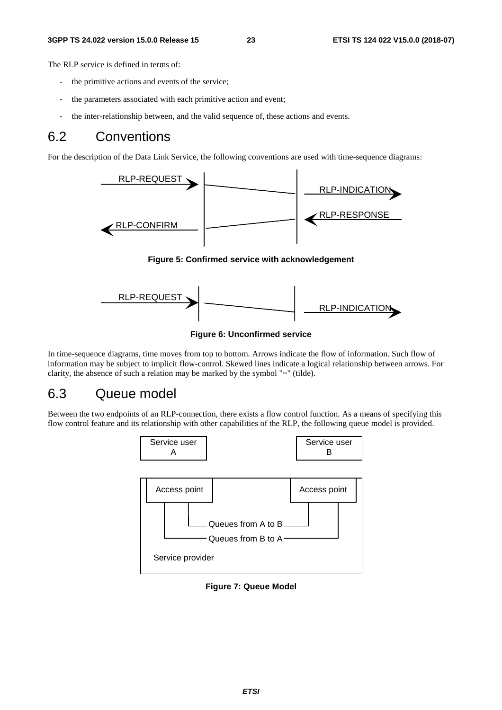The RLP service is defined in terms of:

- the primitive actions and events of the service;
- the parameters associated with each primitive action and event;
- the inter-relationship between, and the valid sequence of, these actions and events.

### 6.2 Conventions

For the description of the Data Link Service, the following conventions are used with time-sequence diagrams:



**Figure 5: Confirmed service with acknowledgement** 



**Figure 6: Unconfirmed service** 

In time-sequence diagrams, time moves from top to bottom. Arrows indicate the flow of information. Such flow of information may be subject to implicit flow-control. Skewed lines indicate a logical relationship between arrows. For clarity, the absence of such a relation may be marked by the symbol "~" (tilde).

### 6.3 Queue model

Between the two endpoints of an RLP-connection, there exists a flow control function. As a means of specifying this flow control feature and its relationship with other capabilities of the RLP, the following queue model is provided.



**Figure 7: Queue Model**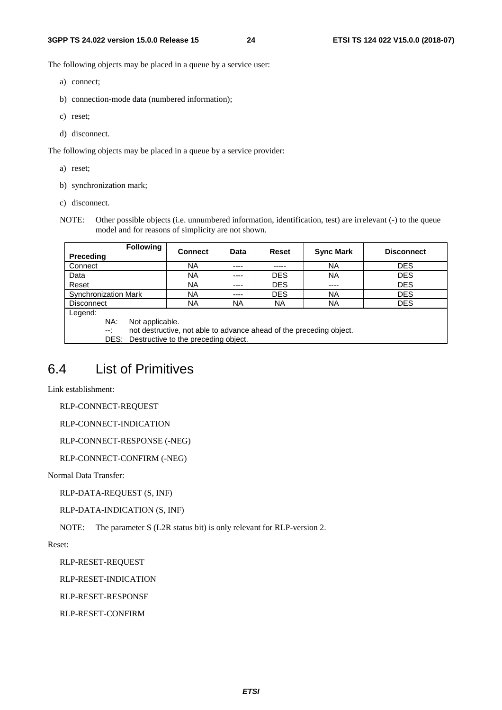The following objects may be placed in a queue by a service user:

- a) connect;
- b) connection-mode data (numbered information);
- c) reset;
- d) disconnect.

The following objects may be placed in a queue by a service provider:

a) reset;

- b) synchronization mark;
- c) disconnect.
- NOTE: Other possible objects (i.e. unnumbered information, identification, test) are irrelevant (-) to the queue model and for reasons of simplicity are not shown.

|                                                                        | <b>Following</b>                                    | <b>Connect</b>                                                      | Data | Reset      | <b>Sync Mark</b> | <b>Disconnect</b> |  |  |
|------------------------------------------------------------------------|-----------------------------------------------------|---------------------------------------------------------------------|------|------------|------------------|-------------------|--|--|
| <b>Preceding</b>                                                       |                                                     |                                                                     |      |            |                  |                   |  |  |
| Connect                                                                |                                                     | NA                                                                  | ---- | -----      | ΝA               | <b>DES</b>        |  |  |
| Data                                                                   | <b>DES</b><br><b>NA</b><br><b>DES</b><br>ΝA<br>---- |                                                                     |      |            |                  |                   |  |  |
| Reset                                                                  | <b>DES</b><br><b>DES</b><br>NA<br>$- - - -$<br>---- |                                                                     |      |            |                  |                   |  |  |
| <b>Synchronization Mark</b>                                            |                                                     | ΝA                                                                  | ---- | <b>DES</b> | ΝA               | <b>DES</b>        |  |  |
| <b>DES</b><br><b>NA</b><br>NA.<br><b>NA</b><br>ΝA<br><b>Disconnect</b> |                                                     |                                                                     |      |            |                  |                   |  |  |
| Legend:                                                                |                                                     |                                                                     |      |            |                  |                   |  |  |
| NA:                                                                    |                                                     | Not applicable.                                                     |      |            |                  |                   |  |  |
| $-1$                                                                   |                                                     | not destructive, not able to advance ahead of the preceding object. |      |            |                  |                   |  |  |
|                                                                        | DES:                                                | Destructive to the preceding object.                                |      |            |                  |                   |  |  |

## 6.4 List of Primitives

Link establishment:

RLP-CONNECT-REQUEST

RLP-CONNECT-INDICATION

```
RLP-CONNECT-RESPONSE (-NEG)
```
RLP-CONNECT-CONFIRM (-NEG)

Normal Data Transfer:

RLP-DATA-REQUEST (S, INF)

RLP-DATA-INDICATION (S, INF)

NOTE: The parameter S (L2R status bit) is only relevant for RLP-version 2.

Reset:

RLP-RESET-REQUEST

RLP-RESET-INDICATION

RLP-RESET-RESPONSE

RLP-RESET-CONFIRM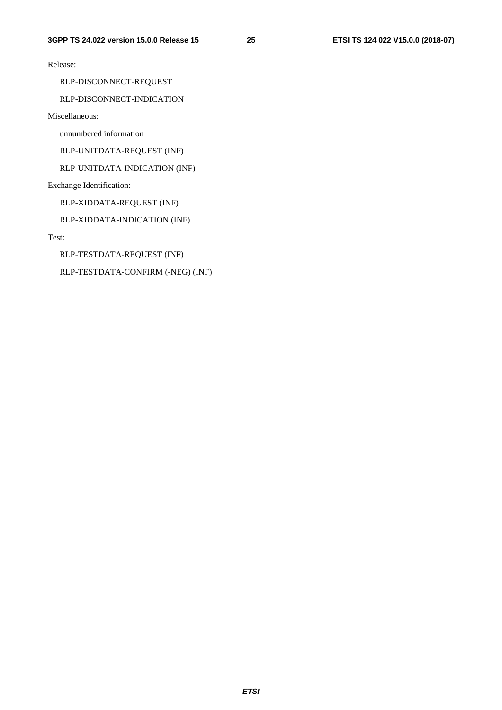Release:

RLP-DISCONNECT-REQUEST

#### RLP-DISCONNECT-INDICATION

Miscellaneous:

unnumbered information

RLP-UNITDATA-REQUEST (INF)

RLP-UNITDATA-INDICATION (INF)

Exchange Identification:

RLP-XIDDATA-REQUEST (INF)

RLP-XIDDATA-INDICATION (INF)

Test:

RLP-TESTDATA-REQUEST (INF)

RLP-TESTDATA-CONFIRM (-NEG) (INF)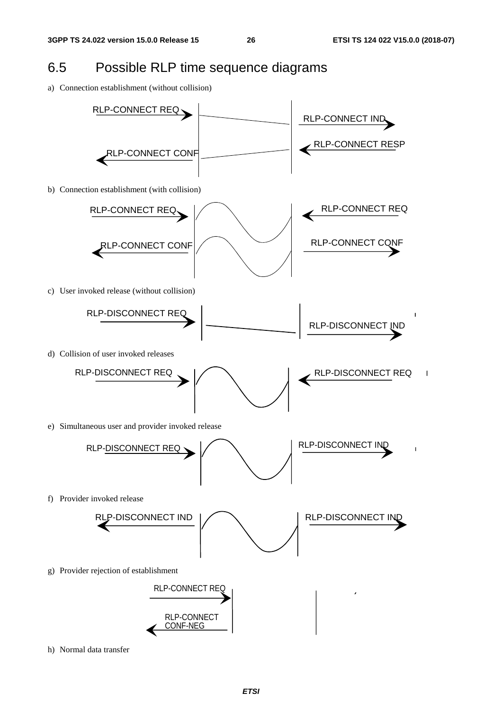$\overline{\phantom{a}}$ 

## 6.5 Possible RLP time sequence diagrams

a) Connection establishment (without collision)



h) Normal data transfer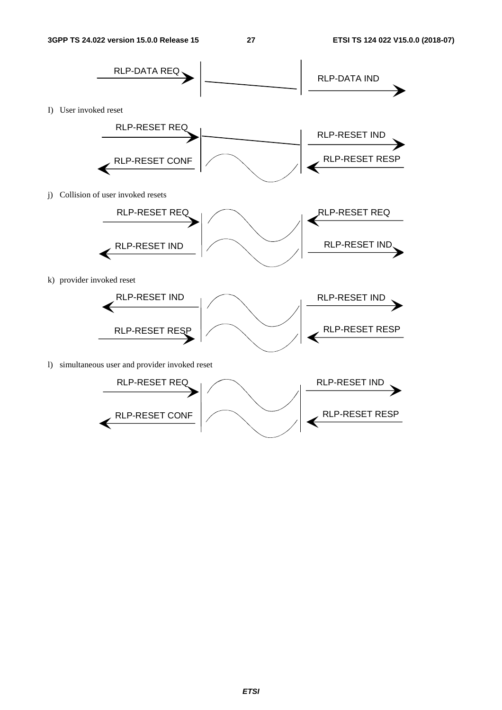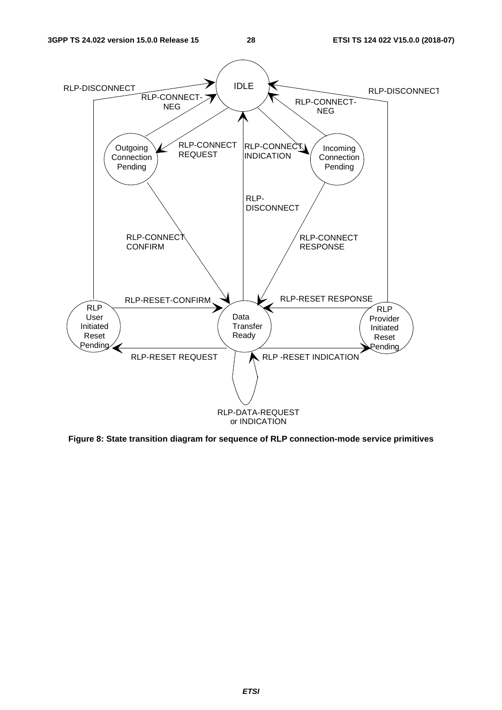

**Figure 8: State transition diagram for sequence of RLP connection-mode service primitives**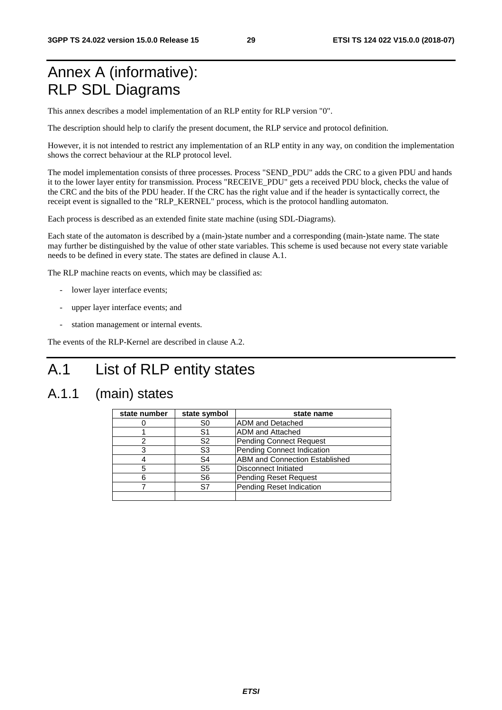## Annex A (informative): RLP SDL Diagrams

This annex describes a model implementation of an RLP entity for RLP version "0".

The description should help to clarify the present document, the RLP service and protocol definition.

However, it is not intended to restrict any implementation of an RLP entity in any way, on condition the implementation shows the correct behaviour at the RLP protocol level.

The model implementation consists of three processes. Process "SEND\_PDU" adds the CRC to a given PDU and hands it to the lower layer entity for transmission. Process "RECEIVE\_PDU" gets a received PDU block, checks the value of the CRC and the bits of the PDU header. If the CRC has the right value and if the header is syntactically correct, the receipt event is signalled to the "RLP\_KERNEL" process, which is the protocol handling automaton.

Each process is described as an extended finite state machine (using SDL-Diagrams).

Each state of the automaton is described by a (main-)state number and a corresponding (main-)state name. The state may further be distinguished by the value of other state variables. This scheme is used because not every state variable needs to be defined in every state. The states are defined in clause A.1.

The RLP machine reacts on events, which may be classified as:

- lower layer interface events;
- upper layer interface events; and
- station management or internal events.

The events of the RLP-Kernel are described in clause A.2.

## A.1 List of RLP entity states

## A.1.1 (main) states

| state number | state symbol   | state name                            |
|--------------|----------------|---------------------------------------|
|              | S0             | <b>ADM</b> and Detached               |
|              | S1             | <b>ADM</b> and Attached               |
|              | S <sub>2</sub> | Pending Connect Request               |
|              | S3             | Pending Connect Indication            |
|              | S4             | <b>ABM and Connection Established</b> |
| 5            | S5             | Disconnect Initiated                  |
|              | S6             | <b>Pending Reset Request</b>          |
|              | S7             | Pending Reset Indication              |
|              |                |                                       |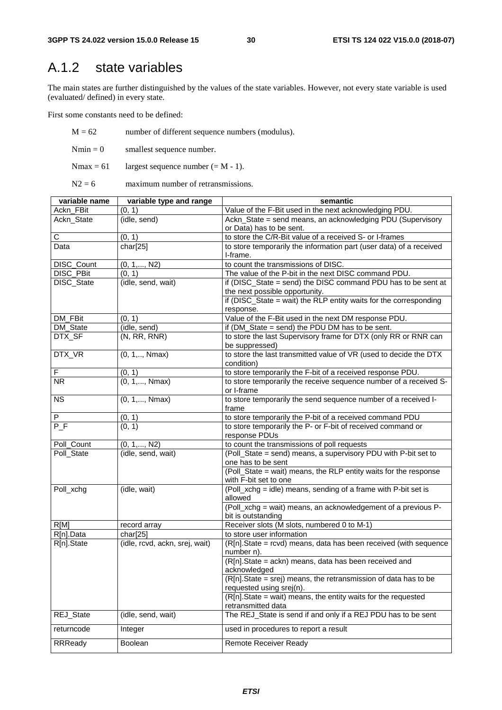## A.1.2 state variables

The main states are further distinguished by the values of the state variables. However, not every state variable is used (evaluated/ defined) in every state.

First some constants need to be defined:

 $M = 62$  number of different sequence numbers (modulus).  $Nmin = 0$  smallest sequence number.

Nmax = 61 largest sequence number (=  $M - 1$ ).

 $N2 = 6$  maximum number of retransmissions.

| variable name    | variable type and range        | semantic                                                             |
|------------------|--------------------------------|----------------------------------------------------------------------|
| Ackn_FBit        | (0, 1)                         | Value of the F-Bit used in the next acknowledging PDU.               |
| Ackn_State       | (idle, send)                   | Ackn_State = send means, an acknowledging PDU (Supervisory           |
|                  |                                | or Data) has to be sent.                                             |
| C                | (0, 1)                         | to store the C/R-Bit value of a received S- or I-frames              |
| Data             | char[25]                       | to store temporarily the information part (user data) of a received  |
|                  |                                | I-frame.                                                             |
| DISC_Count       | $(0, 1, \ldots, N2)$           | to count the transmissions of DISC.                                  |
| DISC_PBit        | (0, 1)                         | The value of the P-bit in the next DISC command PDU.                 |
| DISC_State       | (idle, send, wait)             | if (DISC_State = send) the DISC command PDU has to be sent at        |
|                  |                                | the next possible opportunity.                                       |
|                  |                                | if ( $DISC$ State = wait) the RLP entity waits for the corresponding |
|                  |                                | response.                                                            |
| <b>DM FBit</b>   | (0, 1)                         | Value of the F-Bit used in the next DM response PDU.                 |
| DM_State         | (idle, send)                   | if (DM_State = send) the PDU DM has to be sent.                      |
| DTX_SF           | (N, RR, RNR)                   | to store the last Supervisory frame for DTX (only RR or RNR can      |
|                  |                                | be suppressed)                                                       |
| DTX_VR           | $(0, 1, \ldots, N$ max $)$     | to store the last transmitted value of VR (used to decide the DTX    |
|                  |                                | condition)                                                           |
| F                | (0, 1)                         | to store temporarily the F-bit of a received response PDU.           |
| <b>NR</b>        | $(0, 1, \ldots, Nmax)$         | to store temporarily the receive sequence number of a received S-    |
|                  |                                | or I-frame                                                           |
| <b>NS</b>        | $(0, 1, \ldots, Nmax)$         | to store temporarily the send sequence number of a received I-       |
|                  |                                | frame                                                                |
| ${\sf P}$        | (0, 1)                         | to store temporarily the P-bit of a received command PDU             |
| $\overline{P_F}$ | (0, 1)                         | to store temporarily the P- or F-bit of received command or          |
|                  |                                | response PDUs                                                        |
| Poll_Count       | $(0, 1, \ldots, N2)$           | to count the transmissions of poll requests                          |
| Poll_State       | (idle, send, wait)             | (Poll_State = send) means, a supervisory PDU with P-bit set to       |
|                  |                                | one has to be sent                                                   |
|                  |                                | (Poll_State = wait) means, the RLP entity waits for the response     |
|                  |                                | with F-bit set to one                                                |
| Poll_xchg        | (idle, wait)                   | (Poll_xchg = idle) means, sending of a frame with P-bit set is       |
|                  |                                | allowed                                                              |
|                  |                                | (Poll_xchg = wait) means, an acknowledgement of a previous P-        |
| RIM              |                                | bit is outstanding<br>Receiver slots (M slots, numbered 0 to M-1)    |
| R[n].Data        | record array<br>char[25]       | to store user information                                            |
| R[n].State       | (idle, rcvd, ackn, srej, wait) | (R[n].State = rcvd) means, data has been received (with sequence     |
|                  |                                | number n).                                                           |
|                  |                                | (R[n].State = ackn) means, data has been received and                |
|                  |                                | acknowledged                                                         |
|                  |                                | (R[n].State = srej) means, the retransmission of data has to be      |
|                  |                                | requested using srej(n).                                             |
|                  |                                | $(R[n].State = wait)$ means, the entity waits for the requested      |
|                  |                                | retransmitted data                                                   |
| REJ_State        | (idle, send, wait)             | The REJ_State is send if and only if a REJ PDU has to be sent        |
|                  |                                |                                                                      |
| returncode       | Integer                        | used in procedures to report a result                                |
| <b>RRReady</b>   | Boolean                        | <b>Remote Receiver Ready</b>                                         |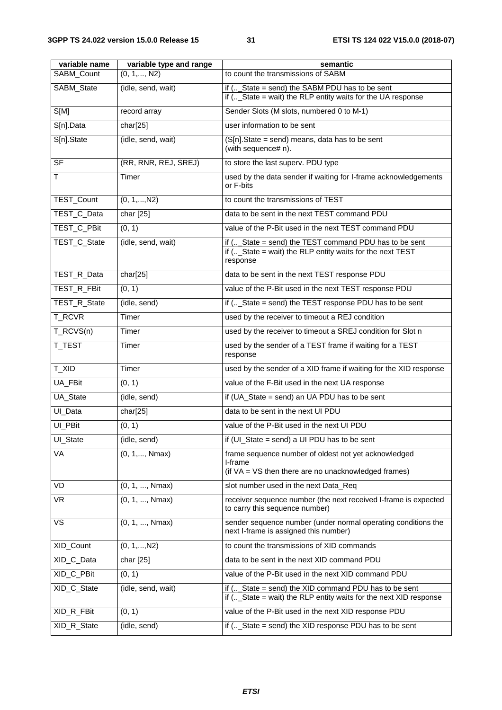| to count the transmissions of SABM<br>SABM_Count<br>$(0, 1, \ldots, N2)$<br>SABM_State<br>(idle, send, wait)<br>if $($ State = send) the SABM PDU has to be sent<br>if (_State = wait) the RLP entity waits for the UA response<br>S[M]<br>Sender Slots (M slots, numbered 0 to M-1)<br>record array<br>S[n].Data<br>char[25]<br>user information to be sent<br>S[n].State<br>(idle, send, wait)<br>(S[n].State = send) means, data has to be sent<br>(with sequence# n).<br>$\overline{\mathsf{SF}}$<br>(RR, RNR, REJ, SREJ)<br>to store the last superv. PDU type<br>т<br>used by the data sender if waiting for I-frame acknowledgements<br>Timer<br>or F-bits<br>TEST_Count<br>to count the transmissions of TEST<br>$(0, 1, \ldots, N2)$<br>data to be sent in the next TEST command PDU<br>TEST_C_Data<br>char [25]<br>TEST_C_PBit<br>value of the P-Bit used in the next TEST command PDU<br>(0, 1)<br>TEST_C_State<br>(idle, send, wait)<br>if (_State = send) the TEST command PDU has to be sent<br>if (_State = wait) the RLP entity waits for the next TEST<br>response<br>TEST_R_Data<br>char[25]<br>data to be sent in the next TEST response PDU<br>value of the P-Bit used in the next TEST response PDU<br>TEST_R_FBit<br>(0, 1)<br>TEST_R_State<br>if (_State = send) the TEST response PDU has to be sent<br>(idle, send)<br>T_RCVR<br>used by the receiver to timeout a REJ condition<br>Timer<br>T_RCVS(n)<br>used by the receiver to timeout a SREJ condition for Slot n<br>Timer<br>T_TEST<br>used by the sender of a TEST frame if waiting for a TEST<br>Timer<br>response<br>T_XID<br>used by the sender of a XID frame if waiting for the XID response<br>Timer<br>value of the F-Bit used in the next UA response<br>UA_FBit<br>(0, 1)<br>UA_State<br>(idle, send)<br>if $(UA_S)$ State = send) an UA PDU has to be sent<br>UI_Data<br>char[25]<br>data to be sent in the next UI PDU<br>UI_PBit<br>value of the P-Bit used in the next UI PDU<br>(0, 1)<br>if (UI_State = send) a UI PDU has to be sent<br>UI_State<br>(idle, send)<br>VA<br>$(0, 1, \ldots, Nmax)$<br>frame sequence number of oldest not yet acknowledged |
|---------------------------------------------------------------------------------------------------------------------------------------------------------------------------------------------------------------------------------------------------------------------------------------------------------------------------------------------------------------------------------------------------------------------------------------------------------------------------------------------------------------------------------------------------------------------------------------------------------------------------------------------------------------------------------------------------------------------------------------------------------------------------------------------------------------------------------------------------------------------------------------------------------------------------------------------------------------------------------------------------------------------------------------------------------------------------------------------------------------------------------------------------------------------------------------------------------------------------------------------------------------------------------------------------------------------------------------------------------------------------------------------------------------------------------------------------------------------------------------------------------------------------------------------------------------------------------------------------------------------------------------------------------------------------------------------------------------------------------------------------------------------------------------------------------------------------------------------------------------------------------------------------------------------------------------------------------------------------------------------------------------------------------------------------------------------------------------------------------------------------------------------------------|
|                                                                                                                                                                                                                                                                                                                                                                                                                                                                                                                                                                                                                                                                                                                                                                                                                                                                                                                                                                                                                                                                                                                                                                                                                                                                                                                                                                                                                                                                                                                                                                                                                                                                                                                                                                                                                                                                                                                                                                                                                                                                                                                                                         |
|                                                                                                                                                                                                                                                                                                                                                                                                                                                                                                                                                                                                                                                                                                                                                                                                                                                                                                                                                                                                                                                                                                                                                                                                                                                                                                                                                                                                                                                                                                                                                                                                                                                                                                                                                                                                                                                                                                                                                                                                                                                                                                                                                         |
|                                                                                                                                                                                                                                                                                                                                                                                                                                                                                                                                                                                                                                                                                                                                                                                                                                                                                                                                                                                                                                                                                                                                                                                                                                                                                                                                                                                                                                                                                                                                                                                                                                                                                                                                                                                                                                                                                                                                                                                                                                                                                                                                                         |
|                                                                                                                                                                                                                                                                                                                                                                                                                                                                                                                                                                                                                                                                                                                                                                                                                                                                                                                                                                                                                                                                                                                                                                                                                                                                                                                                                                                                                                                                                                                                                                                                                                                                                                                                                                                                                                                                                                                                                                                                                                                                                                                                                         |
|                                                                                                                                                                                                                                                                                                                                                                                                                                                                                                                                                                                                                                                                                                                                                                                                                                                                                                                                                                                                                                                                                                                                                                                                                                                                                                                                                                                                                                                                                                                                                                                                                                                                                                                                                                                                                                                                                                                                                                                                                                                                                                                                                         |
|                                                                                                                                                                                                                                                                                                                                                                                                                                                                                                                                                                                                                                                                                                                                                                                                                                                                                                                                                                                                                                                                                                                                                                                                                                                                                                                                                                                                                                                                                                                                                                                                                                                                                                                                                                                                                                                                                                                                                                                                                                                                                                                                                         |
|                                                                                                                                                                                                                                                                                                                                                                                                                                                                                                                                                                                                                                                                                                                                                                                                                                                                                                                                                                                                                                                                                                                                                                                                                                                                                                                                                                                                                                                                                                                                                                                                                                                                                                                                                                                                                                                                                                                                                                                                                                                                                                                                                         |
|                                                                                                                                                                                                                                                                                                                                                                                                                                                                                                                                                                                                                                                                                                                                                                                                                                                                                                                                                                                                                                                                                                                                                                                                                                                                                                                                                                                                                                                                                                                                                                                                                                                                                                                                                                                                                                                                                                                                                                                                                                                                                                                                                         |
|                                                                                                                                                                                                                                                                                                                                                                                                                                                                                                                                                                                                                                                                                                                                                                                                                                                                                                                                                                                                                                                                                                                                                                                                                                                                                                                                                                                                                                                                                                                                                                                                                                                                                                                                                                                                                                                                                                                                                                                                                                                                                                                                                         |
|                                                                                                                                                                                                                                                                                                                                                                                                                                                                                                                                                                                                                                                                                                                                                                                                                                                                                                                                                                                                                                                                                                                                                                                                                                                                                                                                                                                                                                                                                                                                                                                                                                                                                                                                                                                                                                                                                                                                                                                                                                                                                                                                                         |
|                                                                                                                                                                                                                                                                                                                                                                                                                                                                                                                                                                                                                                                                                                                                                                                                                                                                                                                                                                                                                                                                                                                                                                                                                                                                                                                                                                                                                                                                                                                                                                                                                                                                                                                                                                                                                                                                                                                                                                                                                                                                                                                                                         |
|                                                                                                                                                                                                                                                                                                                                                                                                                                                                                                                                                                                                                                                                                                                                                                                                                                                                                                                                                                                                                                                                                                                                                                                                                                                                                                                                                                                                                                                                                                                                                                                                                                                                                                                                                                                                                                                                                                                                                                                                                                                                                                                                                         |
|                                                                                                                                                                                                                                                                                                                                                                                                                                                                                                                                                                                                                                                                                                                                                                                                                                                                                                                                                                                                                                                                                                                                                                                                                                                                                                                                                                                                                                                                                                                                                                                                                                                                                                                                                                                                                                                                                                                                                                                                                                                                                                                                                         |
|                                                                                                                                                                                                                                                                                                                                                                                                                                                                                                                                                                                                                                                                                                                                                                                                                                                                                                                                                                                                                                                                                                                                                                                                                                                                                                                                                                                                                                                                                                                                                                                                                                                                                                                                                                                                                                                                                                                                                                                                                                                                                                                                                         |
|                                                                                                                                                                                                                                                                                                                                                                                                                                                                                                                                                                                                                                                                                                                                                                                                                                                                                                                                                                                                                                                                                                                                                                                                                                                                                                                                                                                                                                                                                                                                                                                                                                                                                                                                                                                                                                                                                                                                                                                                                                                                                                                                                         |
|                                                                                                                                                                                                                                                                                                                                                                                                                                                                                                                                                                                                                                                                                                                                                                                                                                                                                                                                                                                                                                                                                                                                                                                                                                                                                                                                                                                                                                                                                                                                                                                                                                                                                                                                                                                                                                                                                                                                                                                                                                                                                                                                                         |
|                                                                                                                                                                                                                                                                                                                                                                                                                                                                                                                                                                                                                                                                                                                                                                                                                                                                                                                                                                                                                                                                                                                                                                                                                                                                                                                                                                                                                                                                                                                                                                                                                                                                                                                                                                                                                                                                                                                                                                                                                                                                                                                                                         |
|                                                                                                                                                                                                                                                                                                                                                                                                                                                                                                                                                                                                                                                                                                                                                                                                                                                                                                                                                                                                                                                                                                                                                                                                                                                                                                                                                                                                                                                                                                                                                                                                                                                                                                                                                                                                                                                                                                                                                                                                                                                                                                                                                         |
|                                                                                                                                                                                                                                                                                                                                                                                                                                                                                                                                                                                                                                                                                                                                                                                                                                                                                                                                                                                                                                                                                                                                                                                                                                                                                                                                                                                                                                                                                                                                                                                                                                                                                                                                                                                                                                                                                                                                                                                                                                                                                                                                                         |
|                                                                                                                                                                                                                                                                                                                                                                                                                                                                                                                                                                                                                                                                                                                                                                                                                                                                                                                                                                                                                                                                                                                                                                                                                                                                                                                                                                                                                                                                                                                                                                                                                                                                                                                                                                                                                                                                                                                                                                                                                                                                                                                                                         |
|                                                                                                                                                                                                                                                                                                                                                                                                                                                                                                                                                                                                                                                                                                                                                                                                                                                                                                                                                                                                                                                                                                                                                                                                                                                                                                                                                                                                                                                                                                                                                                                                                                                                                                                                                                                                                                                                                                                                                                                                                                                                                                                                                         |
|                                                                                                                                                                                                                                                                                                                                                                                                                                                                                                                                                                                                                                                                                                                                                                                                                                                                                                                                                                                                                                                                                                                                                                                                                                                                                                                                                                                                                                                                                                                                                                                                                                                                                                                                                                                                                                                                                                                                                                                                                                                                                                                                                         |
|                                                                                                                                                                                                                                                                                                                                                                                                                                                                                                                                                                                                                                                                                                                                                                                                                                                                                                                                                                                                                                                                                                                                                                                                                                                                                                                                                                                                                                                                                                                                                                                                                                                                                                                                                                                                                                                                                                                                                                                                                                                                                                                                                         |
|                                                                                                                                                                                                                                                                                                                                                                                                                                                                                                                                                                                                                                                                                                                                                                                                                                                                                                                                                                                                                                                                                                                                                                                                                                                                                                                                                                                                                                                                                                                                                                                                                                                                                                                                                                                                                                                                                                                                                                                                                                                                                                                                                         |
| I-frame                                                                                                                                                                                                                                                                                                                                                                                                                                                                                                                                                                                                                                                                                                                                                                                                                                                                                                                                                                                                                                                                                                                                                                                                                                                                                                                                                                                                                                                                                                                                                                                                                                                                                                                                                                                                                                                                                                                                                                                                                                                                                                                                                 |
| (if VA = VS then there are no unacknowledged frames)                                                                                                                                                                                                                                                                                                                                                                                                                                                                                                                                                                                                                                                                                                                                                                                                                                                                                                                                                                                                                                                                                                                                                                                                                                                                                                                                                                                                                                                                                                                                                                                                                                                                                                                                                                                                                                                                                                                                                                                                                                                                                                    |
| VD<br>(0, 1, , Nmax)<br>slot number used in the next Data_Req                                                                                                                                                                                                                                                                                                                                                                                                                                                                                                                                                                                                                                                                                                                                                                                                                                                                                                                                                                                                                                                                                                                                                                                                                                                                                                                                                                                                                                                                                                                                                                                                                                                                                                                                                                                                                                                                                                                                                                                                                                                                                           |
| <b>VR</b><br>(0, 1, , Nmax)<br>receiver sequence number (the next received I-frame is expected<br>to carry this sequence number)                                                                                                                                                                                                                                                                                                                                                                                                                                                                                                                                                                                                                                                                                                                                                                                                                                                                                                                                                                                                                                                                                                                                                                                                                                                                                                                                                                                                                                                                                                                                                                                                                                                                                                                                                                                                                                                                                                                                                                                                                        |
| $\overline{\mathsf{VS}}$<br>(0, 1, , Nmax)<br>sender sequence number (under normal operating conditions the<br>next I-frame is assigned this number)                                                                                                                                                                                                                                                                                                                                                                                                                                                                                                                                                                                                                                                                                                                                                                                                                                                                                                                                                                                                                                                                                                                                                                                                                                                                                                                                                                                                                                                                                                                                                                                                                                                                                                                                                                                                                                                                                                                                                                                                    |
| to count the transmissions of XID commands<br>XID_Count<br>$(0, 1, \ldots, N2)$                                                                                                                                                                                                                                                                                                                                                                                                                                                                                                                                                                                                                                                                                                                                                                                                                                                                                                                                                                                                                                                                                                                                                                                                                                                                                                                                                                                                                                                                                                                                                                                                                                                                                                                                                                                                                                                                                                                                                                                                                                                                         |
| XID_C_Data<br>data to be sent in the next XID command PDU<br>char [25]                                                                                                                                                                                                                                                                                                                                                                                                                                                                                                                                                                                                                                                                                                                                                                                                                                                                                                                                                                                                                                                                                                                                                                                                                                                                                                                                                                                                                                                                                                                                                                                                                                                                                                                                                                                                                                                                                                                                                                                                                                                                                  |
| value of the P-Bit used in the next XID command PDU<br>XID_C_PBit<br>(0, 1)                                                                                                                                                                                                                                                                                                                                                                                                                                                                                                                                                                                                                                                                                                                                                                                                                                                                                                                                                                                                                                                                                                                                                                                                                                                                                                                                                                                                                                                                                                                                                                                                                                                                                                                                                                                                                                                                                                                                                                                                                                                                             |
| XID_C_State<br>if (_State = send) the XID command PDU has to be sent<br>(idle, send, wait)<br>if $($ State = wait) the RLP entity waits for the next XID response                                                                                                                                                                                                                                                                                                                                                                                                                                                                                                                                                                                                                                                                                                                                                                                                                                                                                                                                                                                                                                                                                                                                                                                                                                                                                                                                                                                                                                                                                                                                                                                                                                                                                                                                                                                                                                                                                                                                                                                       |
| XID_R_FBit<br>value of the P-Bit used in the next XID response PDU<br>(0, 1)                                                                                                                                                                                                                                                                                                                                                                                                                                                                                                                                                                                                                                                                                                                                                                                                                                                                                                                                                                                                                                                                                                                                                                                                                                                                                                                                                                                                                                                                                                                                                                                                                                                                                                                                                                                                                                                                                                                                                                                                                                                                            |
| XID_R_State<br>(idle, send)<br>if (_State = send) the XID response PDU has to be sent                                                                                                                                                                                                                                                                                                                                                                                                                                                                                                                                                                                                                                                                                                                                                                                                                                                                                                                                                                                                                                                                                                                                                                                                                                                                                                                                                                                                                                                                                                                                                                                                                                                                                                                                                                                                                                                                                                                                                                                                                                                                   |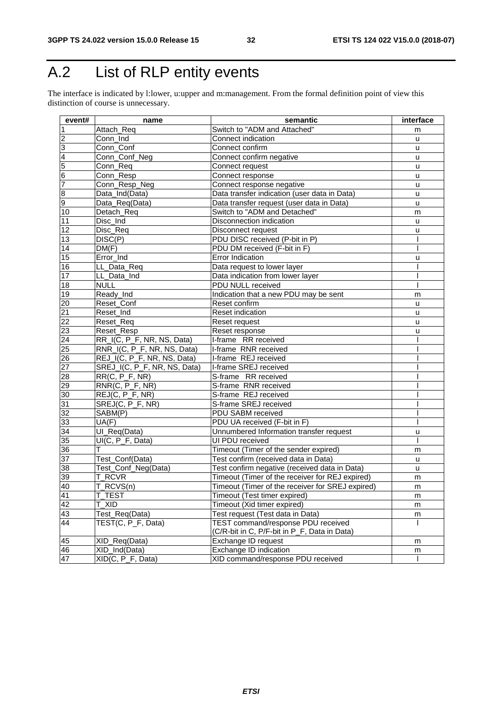## A.2 List of RLP entity events

The interface is indicated by l:lower, u:upper and m:management. From the formal definition point of view this distinction of course is unnecessary.

| event#                                                                                                             | name                                   | semantic                                         | interface |
|--------------------------------------------------------------------------------------------------------------------|----------------------------------------|--------------------------------------------------|-----------|
| $\overline{1}$                                                                                                     | Attach_Req                             | Switch to "ADM and Attached"                     | m         |
|                                                                                                                    | Conn_Ind                               | Connect indication                               | u         |
|                                                                                                                    | Conn_Conf                              | Connect confirm                                  | u         |
| $\frac{2}{3}$ $\frac{3}{5}$ $\frac{1}{6}$ $\frac{1}{7}$                                                            | Conn_Conf_Neg                          | Connect confirm negative                         | u         |
|                                                                                                                    | Conn_Req                               | Connect request                                  | u         |
|                                                                                                                    | Conn_Resp                              | Connect response                                 | u         |
|                                                                                                                    | Conn_Resp_Neg                          | Connect response negative                        | u         |
| . (ထ                                                                                                               | Data_Ind(Data)                         | Data transfer indication (user data in Data)     | u         |
|                                                                                                                    | Data_Req(Data)                         | Data transfer request (user data in Data)        | u         |
| 10                                                                                                                 | Detach_Req                             | Switch to "ADM and Detached"                     | m         |
| 11                                                                                                                 | Disc_Ind                               | Disconnection indication                         | u         |
| 12                                                                                                                 | Disc_Req                               | Disconnect request                               | u         |
| 13                                                                                                                 | DISC(P)                                | PDU DISC received (P-bit in P)                   |           |
| 14                                                                                                                 | DM(F)                                  | PDU DM received (F-bit in F)                     |           |
| 15                                                                                                                 | Error_Ind                              | Error Indication                                 | u         |
| 16                                                                                                                 | LL_Data_Req                            | Data request to lower layer                      |           |
| 17                                                                                                                 | LL_Data_Ind                            | Data indication from lower layer                 |           |
| 18                                                                                                                 | <b>NULL</b>                            | PDU NULL received                                |           |
| 19                                                                                                                 | Ready_Ind                              | Indication that a new PDU may be sent            | m         |
| $\frac{20}{21}$                                                                                                    | Reset_Conf                             | Reset confirm                                    | u         |
|                                                                                                                    | Reset_Ind                              | Reset indication                                 | u         |
| 22                                                                                                                 | Reset_Req                              | Reset request                                    | u         |
| 23                                                                                                                 | Reset_Resp                             | Reset response                                   | u         |
|                                                                                                                    | RR_I(C, P_F, NR, NS, Data)             | I-frame RR received                              |           |
| $\begin{array}{r} \n \overline{\mathbf{24}} \\  \overline{\mathbf{25}} \\  \overline{\mathbf{26}} \\  \end{array}$ | RNR_I(C, P_F, NR, NS, Data)            | I-frame RNR received                             |           |
|                                                                                                                    | REJ_I(C, P_F, NR, NS, Data)            | I-frame REJ received                             |           |
| $\overline{27}$                                                                                                    | SREJ_I(C, P_F, NR, NS, Data)           | I-frame SREJ received                            |           |
| 28                                                                                                                 | $RR(C, P_F, NR)$                       | S-frame RR received                              |           |
| 67                                                                                                                 | RNR(C, P_F, NR)                        | S-frame RNR received                             |           |
| 30                                                                                                                 | $REJ(C, P_F, NR)$                      | S-frame REJ received                             |           |
| 31                                                                                                                 | $\overline{\mathsf{SREJ(C, P_F, NR)}}$ | S-frame SREJ received                            |           |
| 32                                                                                                                 | SABM(P)                                | PDU SABM received                                |           |
| 33                                                                                                                 | UA(F)                                  | PDU UA received (F-bit in F)                     |           |
| 34                                                                                                                 | UI_Req(Data)                           | Unnumbered Information transfer request          | u         |
| 35                                                                                                                 | UI(C, P_F, Data)                       | UI PDU received                                  |           |
| 36                                                                                                                 | т                                      | Timeout (Timer of the sender expired)            | m         |
| $\overline{37}$                                                                                                    | Test_Conf(Data)                        | Test confirm (received data in Data)             | u         |
| 38                                                                                                                 | Test_Conf_Neg(Data)                    | Test confirm negative (received data in Data)    | u         |
| $\overline{39}$                                                                                                    | T_RCVR                                 | Timeout (Timer of the receiver for REJ expired)  | m         |
| 40                                                                                                                 | T_RCVS(n)                              | Timeout (Timer of the receiver for SREJ expired) | m         |
| $\frac{13}{41}$<br>$\frac{42}{42}$                                                                                 | <b>T_TEST</b>                          | Timeout (Test timer expired)                     | m         |
|                                                                                                                    | T XID                                  | Timeout (Xid timer expired)                      | m         |
| 43                                                                                                                 | Test_Req(Data)                         | Test request (Test data in Data)                 | m         |
| 44                                                                                                                 | TEST(C, P_F, Data)                     | TEST command/response PDU received               |           |
|                                                                                                                    |                                        | (C/R-bit in C, P/F-bit in P_F, Data in Data)     |           |
| 45                                                                                                                 | XID_Req(Data)                          | Exchange ID request                              | m         |
| 46                                                                                                                 | XID_Ind(Data)                          | Exchange ID indication                           | m         |
| 47                                                                                                                 | XID(C, P_F, Data)                      | XID command/response PDU received                |           |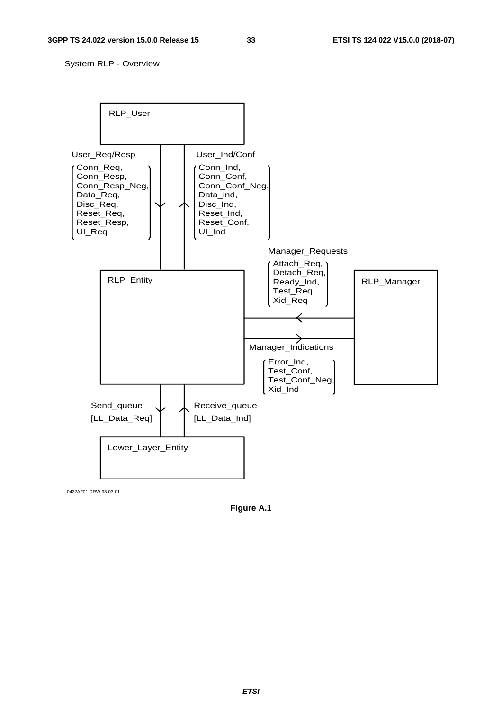System RLP - Overview



0422AF01.DRW 93-03-01

**Figure A.1**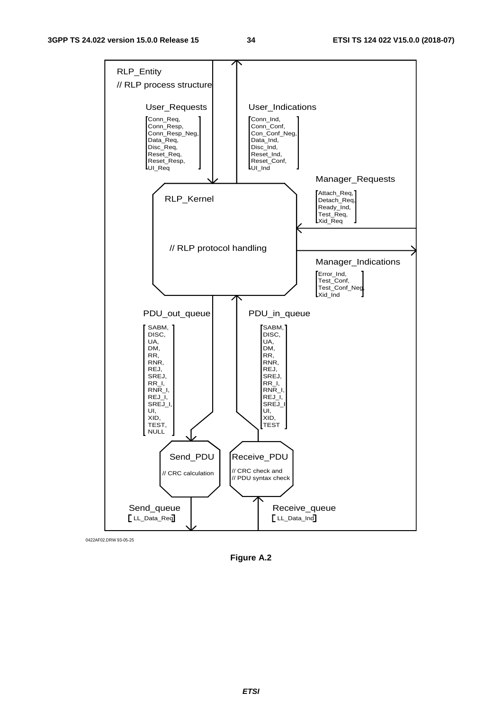#### **3GPP TS 24.022 version 15.0.0 Release 15 34 ETSI TS 124 022 V15.0.0 (2018-07)**



0422AF02.DRW 93-05-25

**Figure A.2**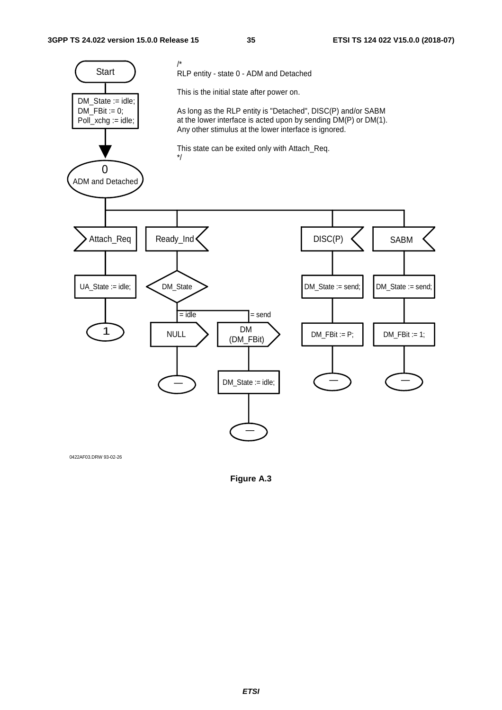

0422AF03.DRW 93-02-26

**Figure A.3**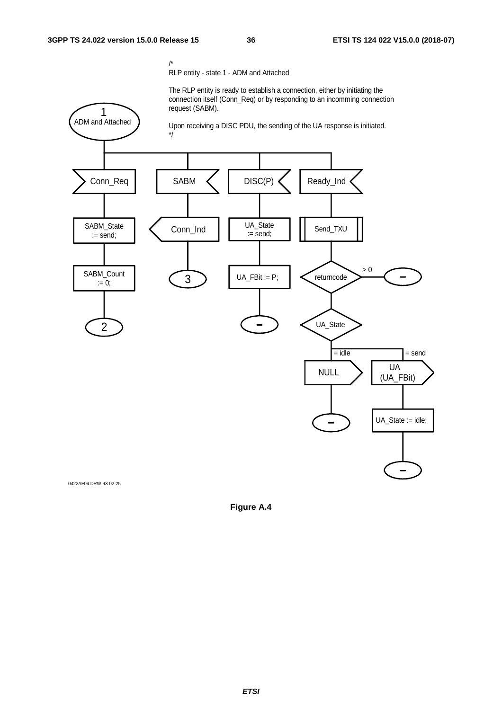/\* RLP entity - state 1 - ADM and Attached

The RLP entity is ready to establish a connection, either by initiating the connection itself (Conn\_Req) or by responding to an incomming connection request (SABM).



0422AF04.DRW 93-02-25

**Figure A.4**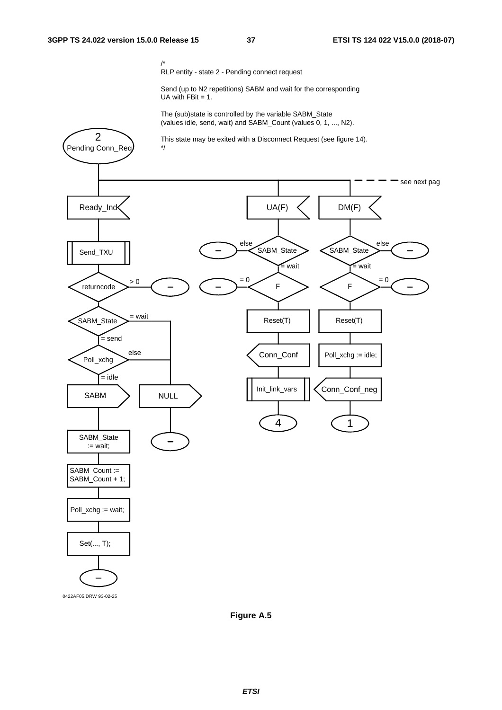2

/\* RLP entity - state 2 - Pending connect request

Send (up to N2 repetitions) SABM and wait for the corresponding UA with  $FBit = 1$ .

The (sub)state is controlled by the variable SABM\_State (values idle, send, wait) and SABM\_Count (values 0, 1, ..., N2).

This state may be exited with a Disconnect Request (see figure 14).



**Figure A.5**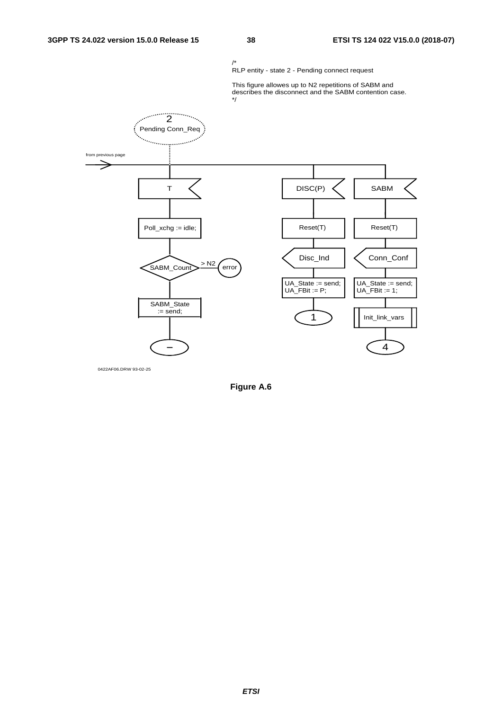

0422AF06.DRW 93-02-25

**Figure A.6**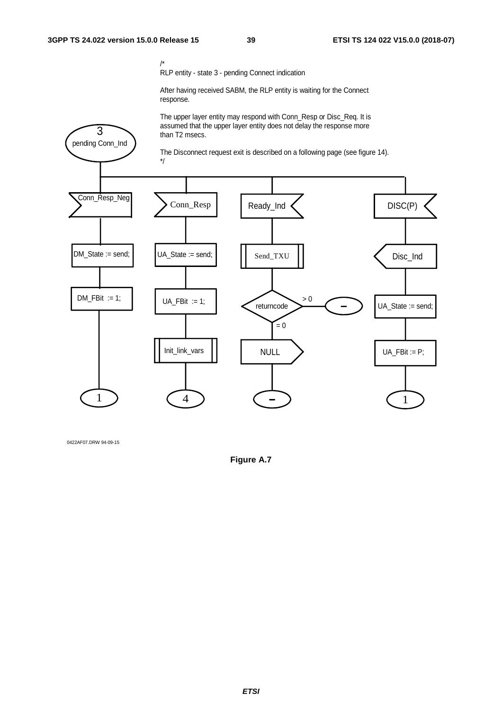pending Conn\_Ind 3

RLP entity - state 3 - pending Connect indication

After having received SABM, the RLP entity is waiting for the Connect response.

The upper layer entity may respond with Conn\_Resp or Disc\_Req. It is assumed that the upper layer entity does not delay the response more than T2 msecs.

The Disconnect request exit is described on a following page (see figure 14).



0422AF07.DRW 94-09-15

**Figure A.7**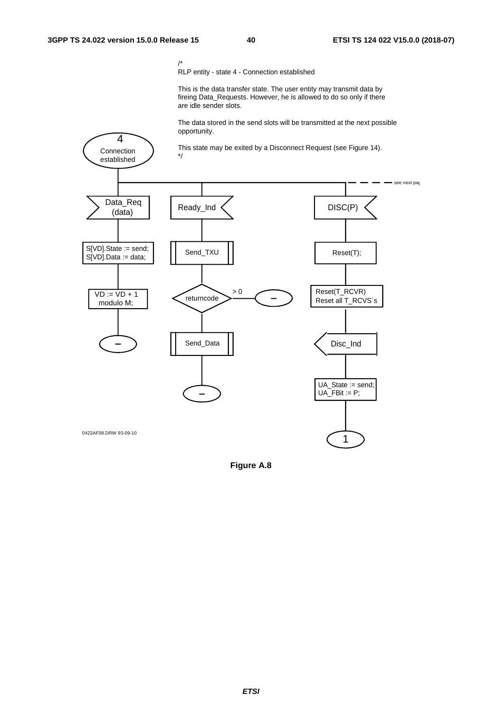Connection

4

/\* RLP entity - state 4 - Connection established

This is the data transfer state. The user entity may transmit data by fireing Data\_Requests. However, he is allowed to do so only if there are idle sender slots.

The data stored in the send slots will be transmitted at the next possible opportunity.

This state may be exited by a Disconnect Request (see Figure 14). \*/



**Figure A.8**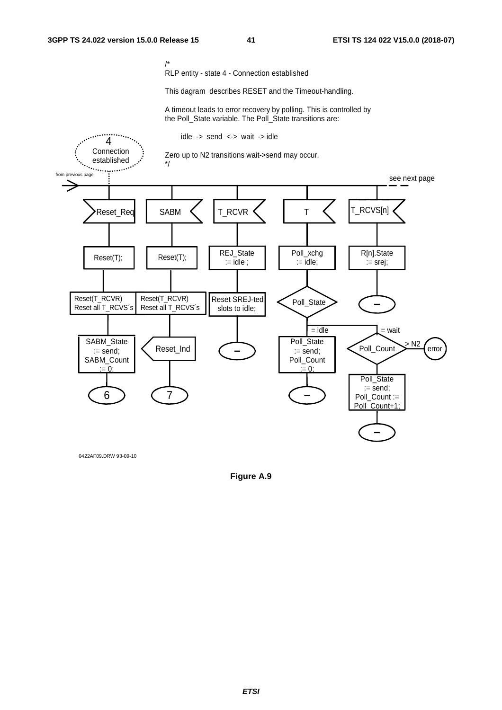RLP entity - state 4 - Connection established

This dagram describes RESET and the Timeout-handling.

A timeout leads to error recovery by polling. This is controlled by the Poll\_State variable. The Poll\_State transitions are:



0422AF09.DRW 93-09-10

**Figure A.9**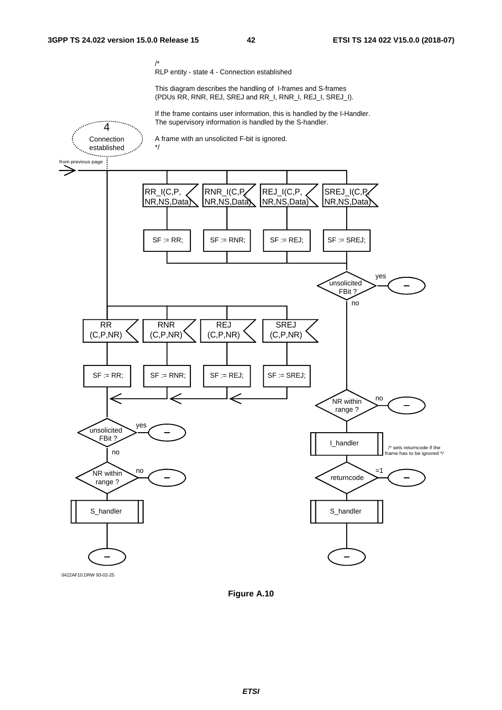RLP entity - state 4 - Connection established

This diagram describes the handling of I-frames and S-frames (PDUs RR, RNR, REJ, SREJ and RR\_I, RNR\_I, REJ\_I, SREJ\_I).

If the frame contains user information, this is handled by the I-Handler. The supervisory information is handled by the S-handler.



0422AF10.DRW 93-02-25

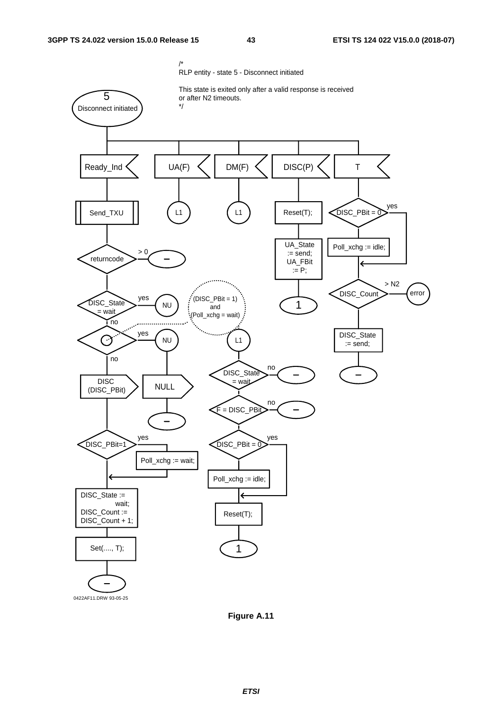

**Figure A.11**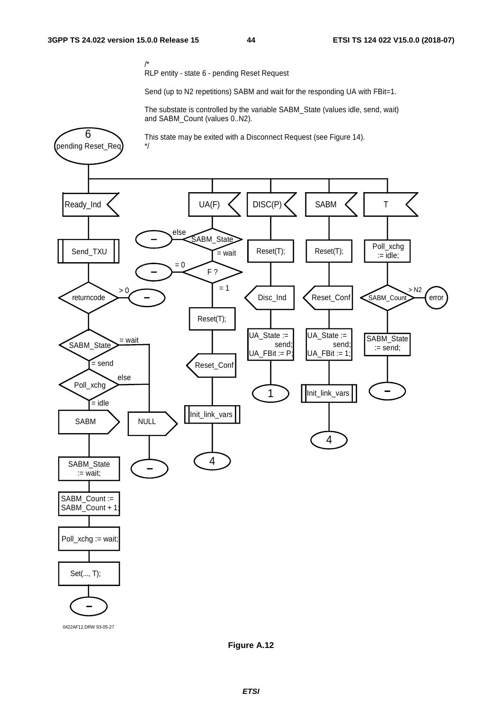RLP entity - state 6 - pending Reset Request

Send (up to N2 repetitions) SABM and wait for the responding UA with FBit=1.

The substate is controlled by the variable SABM\_State (values idle, send, wait) and SABM\_Count (values 0..N2).



0422AF12.DRW 93-05-27

**Figure A.12**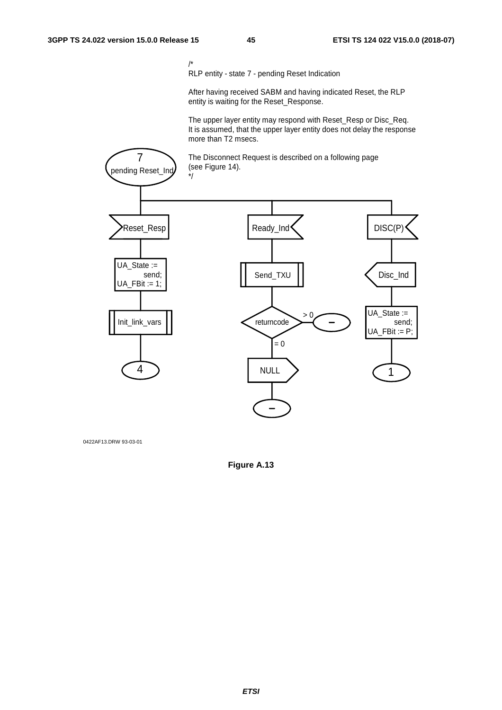RLP entity - state 7 - pending Reset Indication

After having received SABM and having indicated Reset, the RLP entity is waiting for the Reset\_Response.

The upper layer entity may respond with Reset\_Resp or Disc\_Req. It is assumed, that the upper layer entity does not delay the response more than T2 msecs.



0422AF13.DRW 93-03-01

**Figure A.13**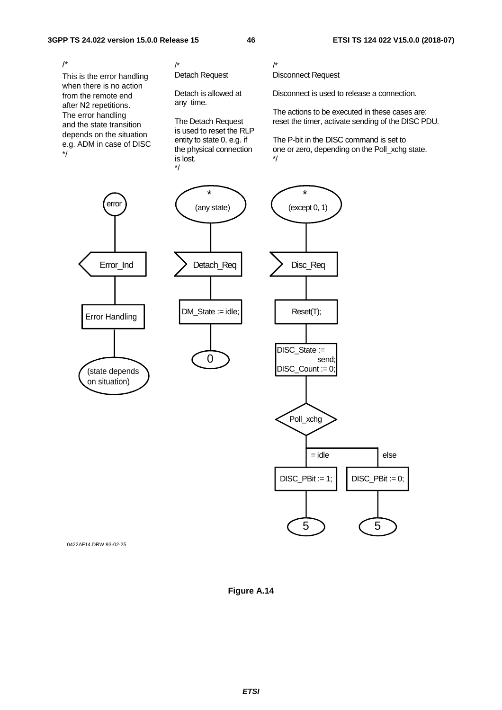This is the error handling when there is no action from the remote end after N2 repetitions. The error handling and the state transition depends on the situation e.g. ADM in case of DISC \*/ /\*

/\* Detach Request

Detach is allowed at any time.

The Detach Request is used to reset the RLP entity to state 0, e.g. if the physical connection is lost. \*/

/\* Disconnect Request

Disconnect is used to release a connection.

The actions to be executed in these cases are: reset the timer, activate sending of the DISC PDU.

The P-bit in the DISC command is set to one or zero, depending on the Poll\_xchg state. \*/







0422AF14.DRW 93-02-25

**Figure A.14**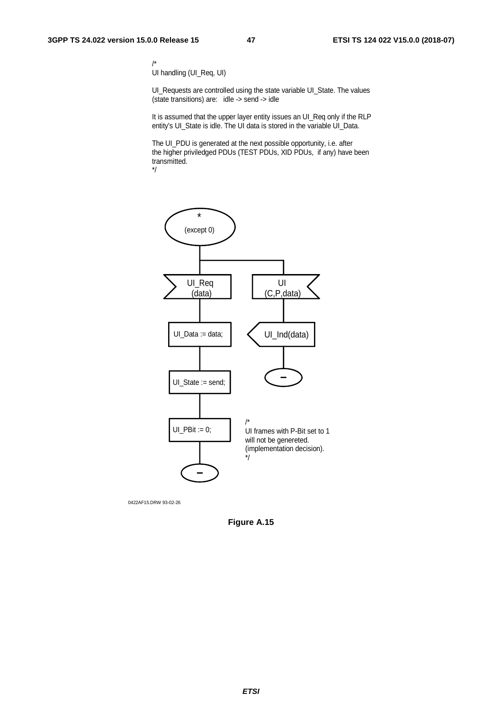UI handling (UI\_Req, UI)

UI\_Requests are controlled using the state variable UI\_State. The values (state transitions) are: idle -> send -> idle

It is assumed that the upper layer entity issues an UI\_Req only if the RLP entity's UI\_State is idle. The UI data is stored in the variable UI\_Data.

The UI\_PDU is generated at the next possible opportunity, i.e. after the higher priviledged PDUs (TEST PDUs, XID PDUs, if any) have been transmitted. \*/



0422AF15.DRW 93-02-26

**Figure A.15**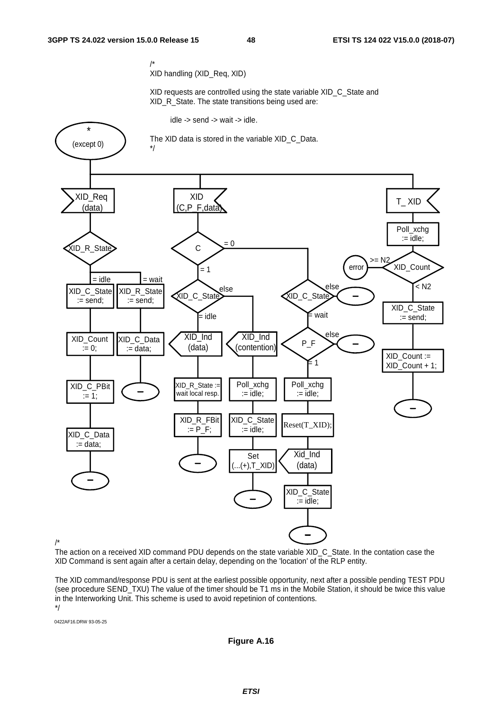/\* XID handling (XID\_Req, XID)

XID requests are controlled using the state variable XID C. State and XID\_R\_State. The state transitions being used are:

idle -> send -> wait -> idle.



/\*

The action on a received XID command PDU depends on the state variable XID\_C\_State. In the contation case the XID Command is sent again after a certain delay, depending on the 'location' of the RLP entity.

The XID command/response PDU is sent at the earliest possible opportunity, next after a possible pending TEST PDU (see procedure SEND TXU) The value of the timer should be T1 ms in the Mobile Station, it should be twice this value in the Interworking Unit. This scheme is used to avoid repetinion of contentions. \*/

0422AF16.DRW 93-05-25

**Figure A.16**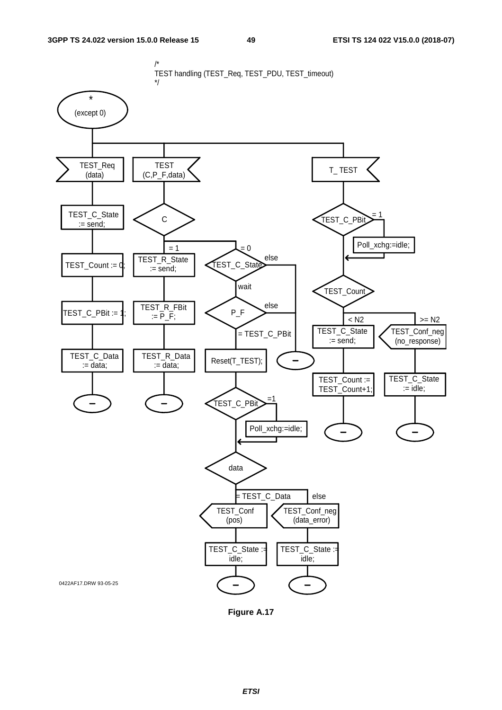

**Figure A.17**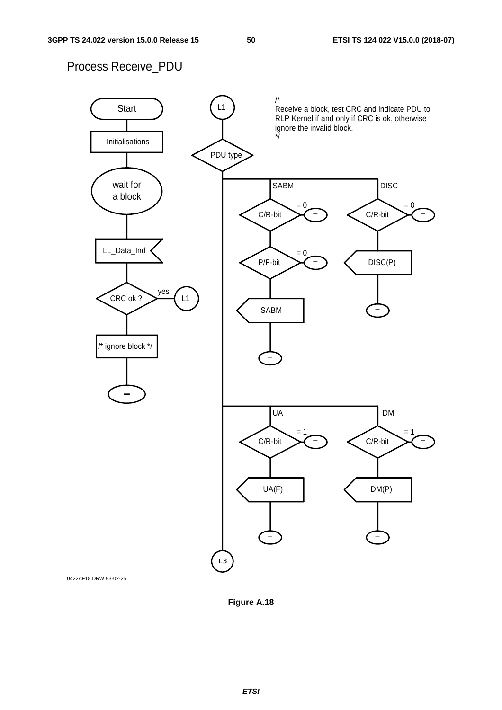## Process Receive\_PDU



0422AF18.DRW 93-02-25

**Figure A.18**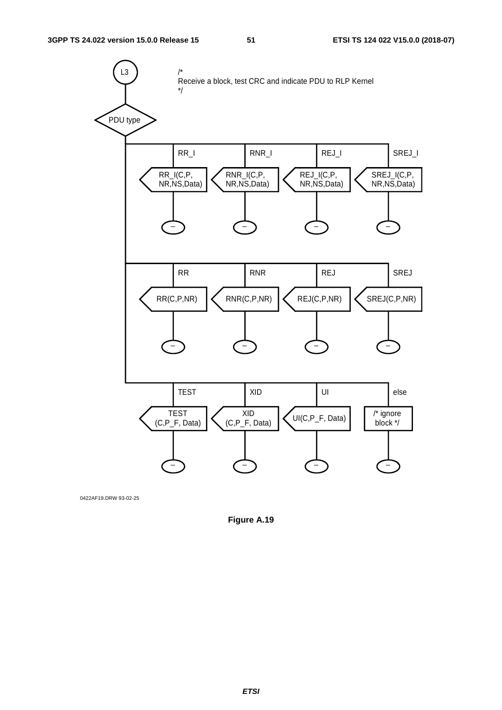

0422AF19.DRW 93-02-25

**Figure A.19**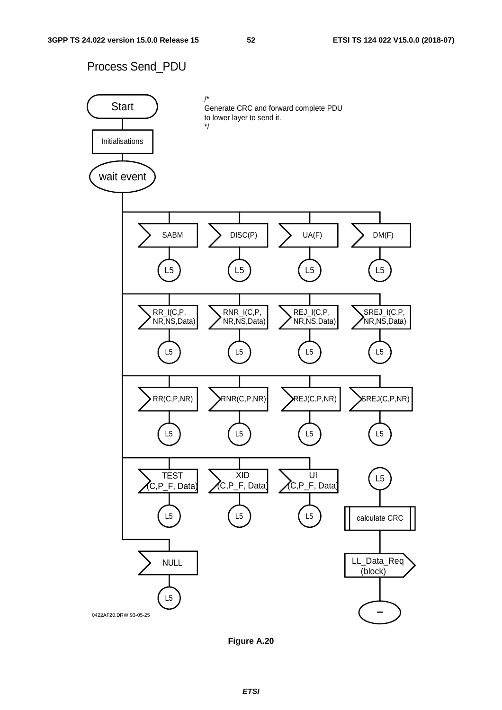### Process Send\_PDU



**Figure A.20**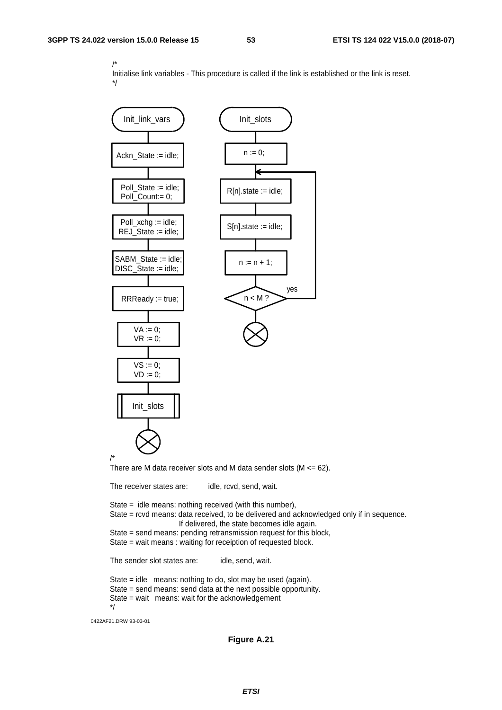/\* Initialise link variables - This procedure is called if the link is established or the link is reset. \*/



0422AF21.DRW 93-03-01

#### **Figure A.21**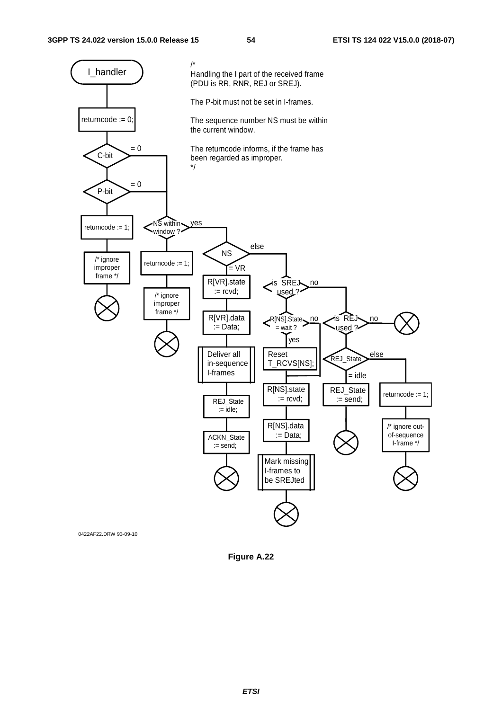

**Figure A.22**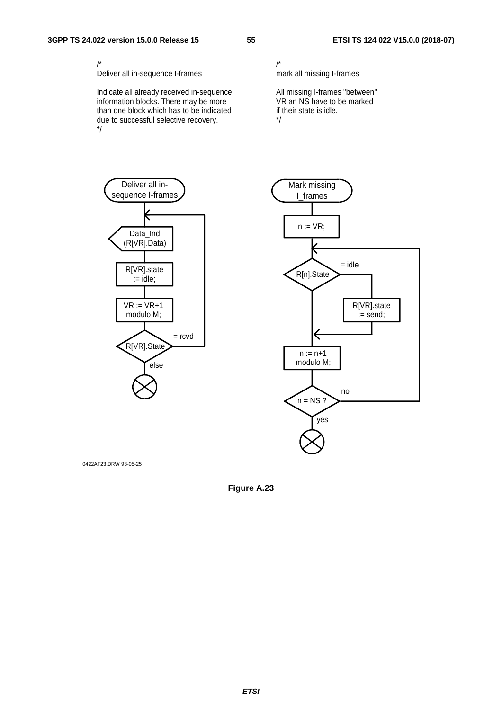Deliver all in-sequence I-frames

Indicate all already received in-sequence information blocks. There may be more than one block which has to be indicated due to successful selective recovery. \*/

/\* mark all missing I-frames

All missing I-frames "between" VR an NS have to be marked if their state is idle. \*/



0422AF23.DRW 93-05-25

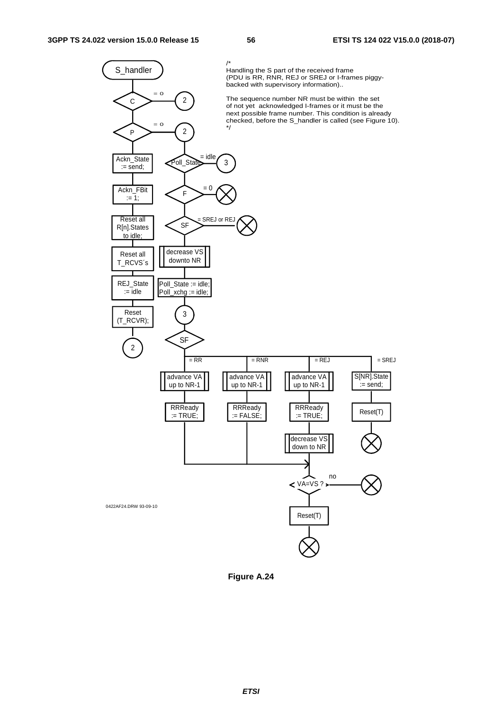

**Figure A.24**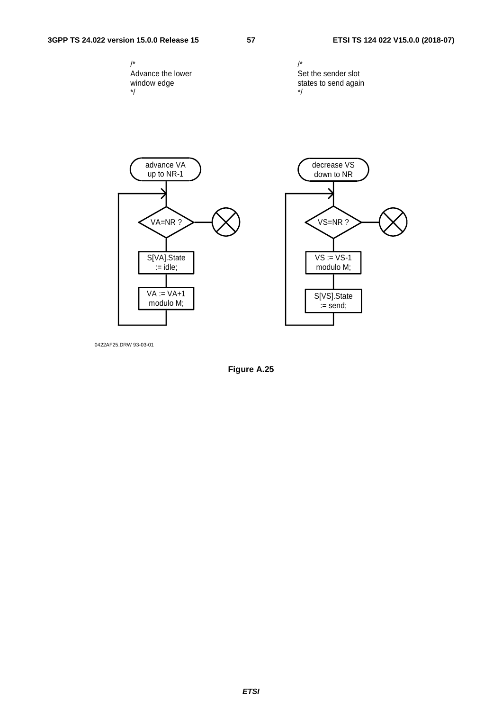#### **3GPP TS 24.022 version 15.0.0 Release 15 57 ETSI TS 124 022 V15.0.0 (2018-07)**





0422AF25.DRW 93-03-01

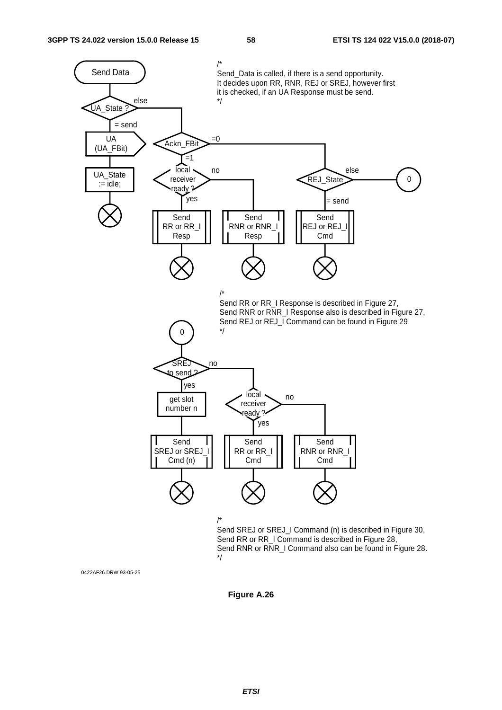

0422AF26.DRW 93-05-25

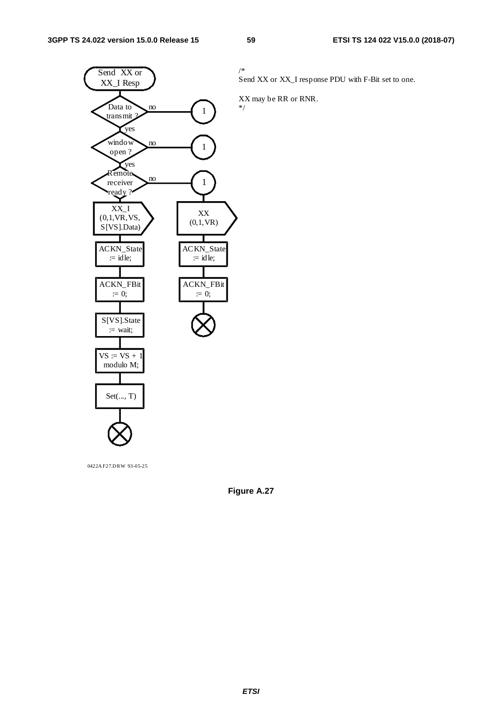

0422A F27.DRW 93-05-25

Send XX or XX\_I response PDU with F-Bit set to one.

XX may be RR or RNR. \*/

**Figure A.27**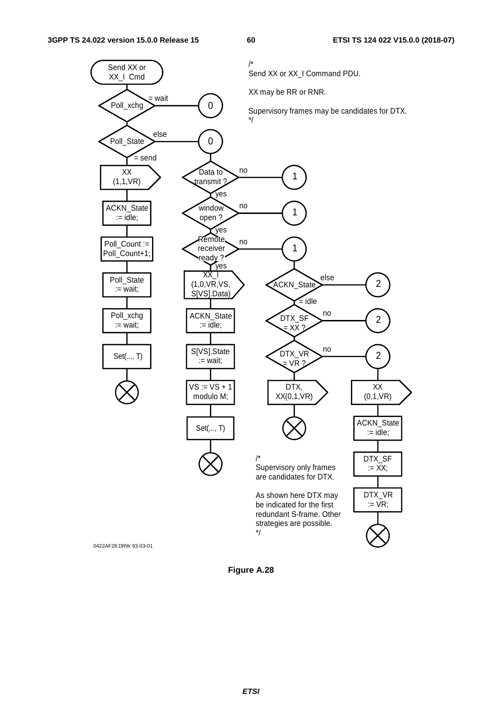

**Figure A.28**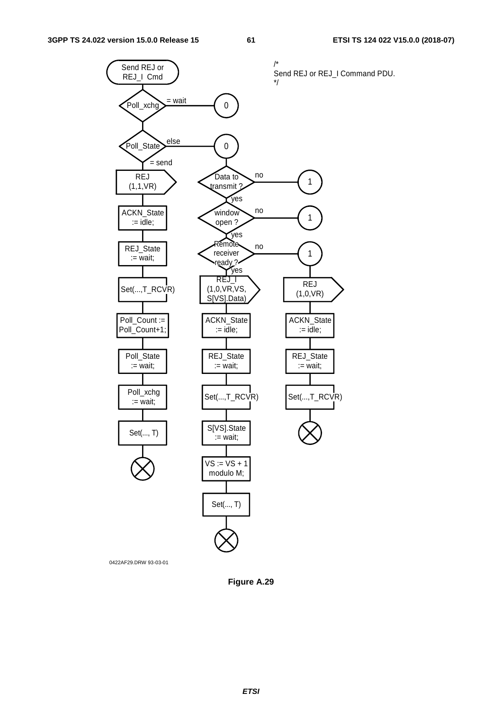

0422AF29.DRW 93-03-01

**Figure A.29**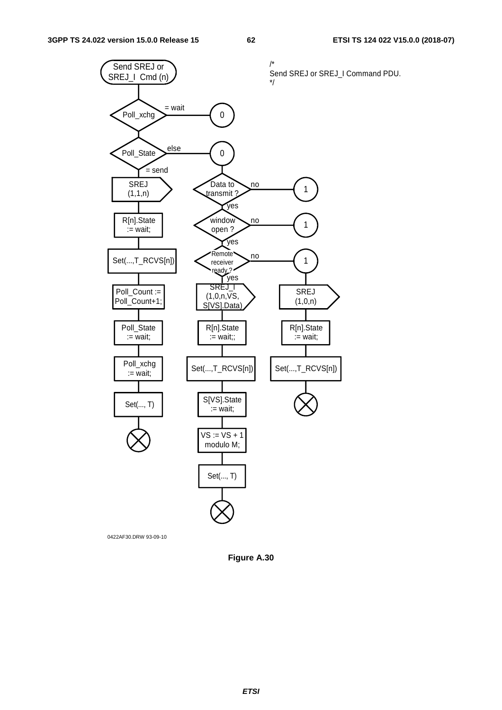

0422AF30.DRW 93-09-10

**Figure A.30**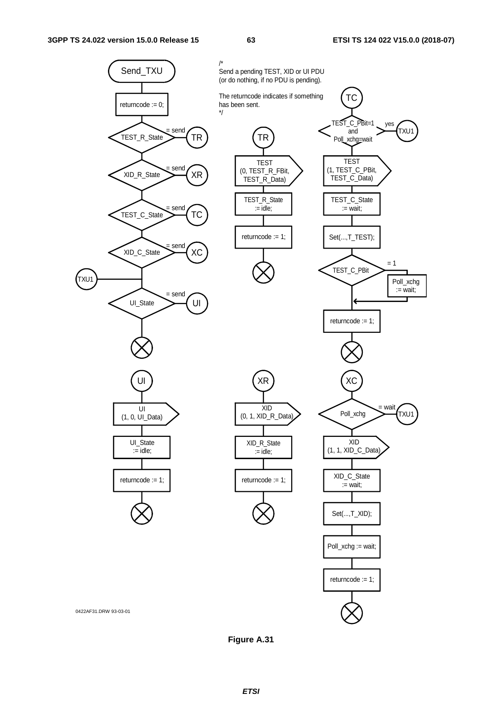

**Figure A.31**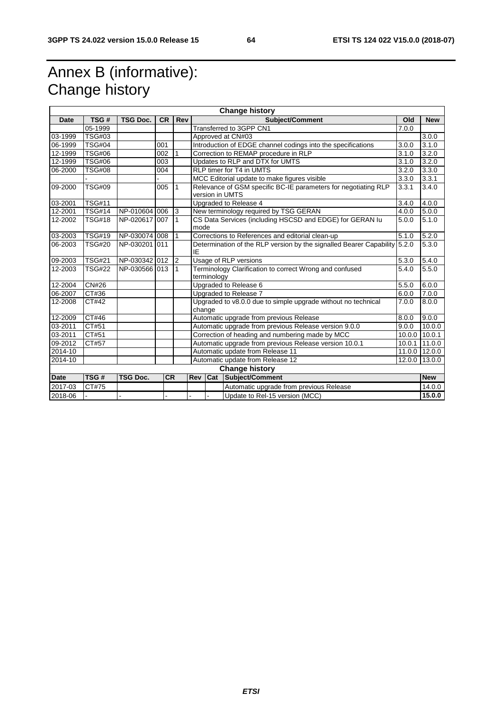## Annex B (informative): Change history

| <b>Change history</b>  |               |                 |           |                |                                                  |                                                                           |                                                                                   |        |               |
|------------------------|---------------|-----------------|-----------|----------------|--------------------------------------------------|---------------------------------------------------------------------------|-----------------------------------------------------------------------------------|--------|---------------|
| <b>Date</b>            | TSG#          | <b>TSG Doc.</b> | <b>CR</b> | Rev            |                                                  |                                                                           | <b>Subject/Comment</b>                                                            | Old    | <b>New</b>    |
|                        | 05-1999       |                 |           |                |                                                  | Transferred to 3GPP CN1                                                   |                                                                                   | 7.0.0  |               |
| 03-1999                | <b>TSG#03</b> |                 |           |                |                                                  |                                                                           | Approved at CN#03                                                                 |        | 3.0.0         |
| 06-1999                | <b>TSG#04</b> |                 | 001       |                |                                                  | Introduction of EDGE channel codings into the specifications              |                                                                                   | 3.0.0  | 3.1.0         |
| $\overline{12} - 1999$ | <b>TSG#06</b> |                 | 002       |                |                                                  |                                                                           | Correction to REMAP procedure in RLP                                              | 3.1.0  | 3.2.0         |
| 12-1999                | <b>TSG#06</b> |                 | 003       |                |                                                  |                                                                           | Updates to RLP and DTX for UMTS                                                   | 3.1.0  | 3.2.0         |
| 06-2000                | <b>TSG#08</b> |                 | 004       |                |                                                  | <b>RLP timer for T4 in UMTS</b>                                           |                                                                                   | 3.2.0  | 3.3.0         |
|                        |               |                 |           |                |                                                  |                                                                           | MCC Editorial update to make figures visible                                      | 3.3.0  | 3.3.1         |
| 09-2000                | <b>TSG#09</b> |                 | 005       | 1              |                                                  |                                                                           | Relevance of GSM specific BC-IE parameters for negotiating RLP<br>version in UMTS | 3.3.1  | 3.4.0         |
| 03-2001                | <b>TSG#11</b> |                 |           |                |                                                  |                                                                           | Upgraded to Release 4                                                             | 3.4.0  | 4.0.0         |
| 12-2001                | <b>TSG#14</b> | NP-010604       | 006       | 3              |                                                  |                                                                           | New terminology required by TSG GERAN                                             | 4.0.0  | 5.0.0         |
| 12-2002                | <b>TSG#18</b> | NP-020617 007   |           | 1              |                                                  | CS Data Services (including HSCSD and EDGE) for GERAN Iu<br>mode          |                                                                                   | 5.0.0  | 5.1.0         |
| 03-2003                | <b>TSG#19</b> | NP-030074 008   |           | $\mathbf{1}$   |                                                  | Corrections to References and editorial clean-up<br>5.1.0                 |                                                                                   |        | 5.2.0         |
| 06-2003                | <b>TSG#20</b> | NP-030201 011   |           |                | IE                                               | Determination of the RLP version by the signalled Bearer Capability 5.2.0 |                                                                                   |        | 5.3.0         |
| 09-2003                | <b>TSG#21</b> | NP-030342 012   |           | $\overline{2}$ |                                                  |                                                                           | Usage of RLP versions                                                             | 5.3.0  | 5.4.0         |
| 12-2003                | <b>TSG#22</b> | NP-030566 013   |           | 1              |                                                  | terminology                                                               | Terminology Clarification to correct Wrong and confused                           | 5.4.0  | 5.5.0         |
| 12-2004                | <b>CN#26</b>  |                 |           |                |                                                  |                                                                           | Upgraded to Release 6                                                             | 5.5.0  | 6.0.0         |
| 06-2007                | CT#36         |                 |           |                |                                                  |                                                                           | Upgraded to Release 7                                                             | 6.0.0  | 7.0.0         |
| 12-2008                | CT#42         |                 |           |                |                                                  | Upgraded to v8.0.0 due to simple upgrade without no technical<br>change   |                                                                                   | 7.0.0  | 8.0.0         |
| 12-2009                | CT#46         |                 |           |                |                                                  | Automatic upgrade from previous Release                                   |                                                                                   | 8.0.0  | 9.0.0         |
| 03-2011                | CT#51         |                 |           |                |                                                  | Automatic upgrade from previous Release version 9.0.0                     |                                                                                   | 9.0.0  | 10.0.0        |
| 03-2011                | CT#51         |                 |           |                |                                                  | Correction of heading and numbering made by MCC                           |                                                                                   |        | 10.0.0 10.0.1 |
| 09-2012                | CT#57         |                 |           |                |                                                  | Automatic upgrade from previous Release version 10.0.1                    |                                                                                   | 10.0.1 | 11.0.0        |
| 2014-10                |               |                 |           |                |                                                  | Automatic update from Release 11                                          |                                                                                   |        | 11.0.0 12.0.0 |
| 2014-10                |               |                 |           |                | Automatic update from Release 12                 |                                                                           | 12.0.0                                                                            | 13.0.0 |               |
| <b>Change history</b>  |               |                 |           |                |                                                  |                                                                           |                                                                                   |        |               |
| <b>Date</b>            | TSG#          | <b>TSG Doc.</b> | <b>CR</b> |                | Rev                                              | Cat                                                                       | Subject/Comment                                                                   |        | <b>New</b>    |
| 2017-03                | CT#75         |                 |           |                |                                                  |                                                                           | Automatic upgrade from previous Release                                           |        | 14.0.0        |
| 2018-06                |               |                 |           |                | Update to Rel-15 version (MCC)<br>$\blacksquare$ |                                                                           |                                                                                   | 15.0.0 |               |